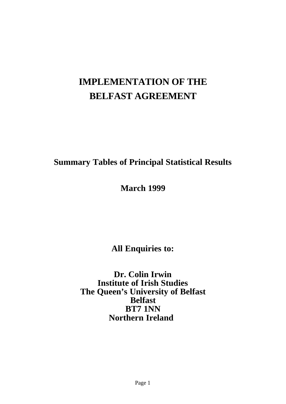# **IMPLEMENTATION OF THE BELFAST AGREEMENT**

# **Summary Tables of Principal Statistical Results**

**March 1999**

**All Enquiries to:**

**Dr. Colin Irwin Institute of Irish Studies The Queen's University of Belfast Belfast BT7 1NN Northern Ireland**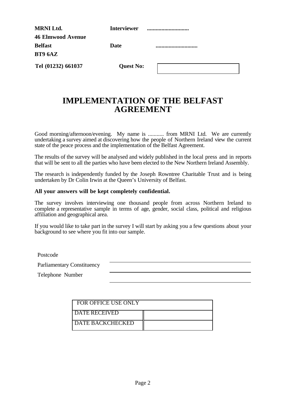| <b>MRNI Ltd.</b>         | <b>Interviewer</b> |  |
|--------------------------|--------------------|--|
| <b>46 Elmwood Avenue</b> |                    |  |
| <b>Belfast</b>           | Date               |  |
| <b>BT9 6AZ</b>           |                    |  |
| Tel (01232) 661037       | <b>Quest No:</b>   |  |

# **IMPLEMENTATION OF THE BELFAST AGREEMENT**

Good morning/afternoon/evening. My name is ........... from MRNI Ltd. We are currently undertaking a survey aimed at discovering how the people of Northern Ireland view the current state of the peace process and the implementation of the Belfast Agreement.

The results of the survey will be analysed and widely published in the local press and in reports that will be sent to all the parties who have been elected to the New Northern Ireland Assembly.

The research is independently funded by the Joseph Rowntree Charitable Trust and is being undertaken by Dr Colin Irwin at the Queen's University of Belfast.

### **All your answers will be kept completely confidential.**

The survey involves interviewing one thousand people from across Northern Ireland to complete a representative sample in terms of age, gender, social class, political and religious affiliation and geographical area.

If you would like to take part in the survey I will start by asking you a few questions about your background to see where you fit into our sample.

Postcode

Parliamentary Constituency

Telephone Number

| FOR OFFICE USE ONLY     |  |
|-------------------------|--|
| <b>I DATE RECEIVED</b>  |  |
| <b>DATE BACKCHECKED</b> |  |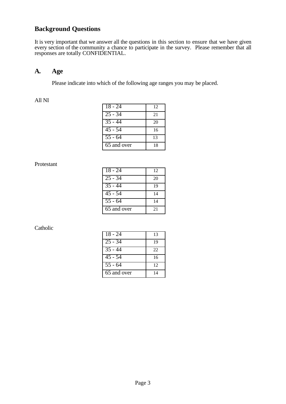# **Background Questions**

It is very important that we answer all the questions in this section to ensure that we have given every section of the community a chance to participate in the survey. Please remember that all responses are totally CONFIDENTIAL.

## **A. Age**

Please indicate into which of the following age ranges you may be placed.

#### All NI

| $18 - 24$            | 12 |
|----------------------|----|
| $25 - 34$            | 21 |
| $\overline{35}$ - 44 | 20 |
| $\overline{45}$ - 54 | 16 |
| $\overline{55}$ - 64 | 13 |
| 65 and over          | 18 |

#### Protestant

| $18 - 24$            | 12 |
|----------------------|----|
| $25 - 34$            | 20 |
| $35 - 44$            | 19 |
| $\overline{45}$ - 54 | 14 |
| $\overline{55}$ - 64 | 14 |
| 65 and over          | 21 |

| $18 - 24$            | 13 |
|----------------------|----|
| $25 - 34$            | 19 |
| $\overline{35} - 44$ | 22 |
| $45 - 54$            | 16 |
| $\overline{55}$ - 64 | 12 |
| 65 and over          | 14 |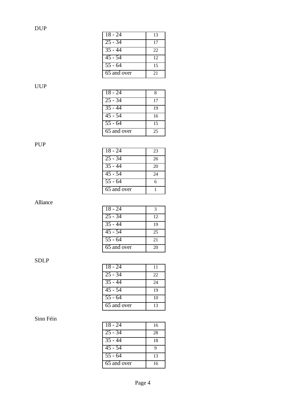| $18 - 24$   | 13 |
|-------------|----|
| $25 - 34$   | 17 |
| $35 - 44$   | 22 |
| $45 - 54$   | 12 |
| $55 - 64$   | 15 |
| 65 and over | 21 |

## UUP

| 18 - 24              | 8  |
|----------------------|----|
| $25 - 34$            | 17 |
| $35 - 44$            | 19 |
| $45 - 54$            | 16 |
| $\overline{55}$ - 64 | 15 |
| 65 and over          | 25 |

## PUP

| $18 - 24$            | 23 |
|----------------------|----|
| $25 - 34$            | 26 |
| $\overline{35} - 44$ | 20 |
| $45 - 54$            | 24 |
| $\overline{55}$ - 64 | 6  |
| 65 and over          |    |

## Alliance

| 18 - 24              | 3  |
|----------------------|----|
| $25 - 34$            | 12 |
| $35 - 44$            | 19 |
| $45 - 54$            | 25 |
| $\overline{55}$ - 64 | 21 |
| 65 and over          | 20 |

# SDLP

| $18 - 24$            | 11 |
|----------------------|----|
| $25 - 34$            | 22 |
| $\overline{3}5 - 44$ | 24 |
| $\overline{45}$ - 54 | 19 |
| $\overline{55 - 64}$ | 10 |
| 65 and over          | 13 |

| $18 - 24$            | 16 |
|----------------------|----|
| $25 - 34$            | 28 |
| $\overline{35}$ - 44 | 18 |
| $\overline{45}$ - 54 | q  |
| $\overline{55}$ - 64 | 13 |
| 65 and over          | 16 |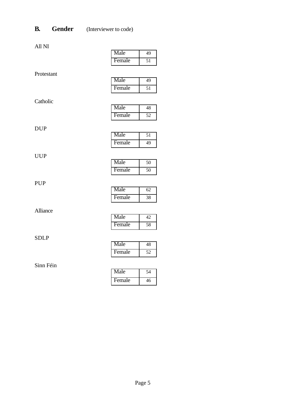# **B. Gender** (Interviewer to code)

|--|

|             | waa    | ェノ              |
|-------------|--------|-----------------|
|             | Female | 51              |
| Protestant  |        |                 |
|             | Male   | 49              |
|             | Female | 51              |
| Catholic    |        |                 |
|             | Male   | 48              |
|             | Female | 52              |
|             |        |                 |
| <b>DUP</b>  | Male   | 51              |
|             | Female | $\overline{49}$ |
|             |        |                 |
| <b>UUP</b>  | Male   | 50              |
|             | Female | 50              |
|             |        |                 |
| <b>PUP</b>  |        |                 |
|             | Male   | 62              |
|             | Female | 38              |
| Alliance    |        |                 |
|             | Male   | 42              |
|             | Female | 58              |
| <b>SDLP</b> |        |                 |
|             | Male   | 48              |
|             | Female | 52              |
|             |        |                 |
| Sinn Féin   | Male   | $\overline{54}$ |
|             | Female | 46              |
|             |        |                 |

| Male   | 49 |
|--------|----|
| Female | 51 |
|        |    |

# Alliance

| Male   |    |
|--------|----|
| Female | 46 |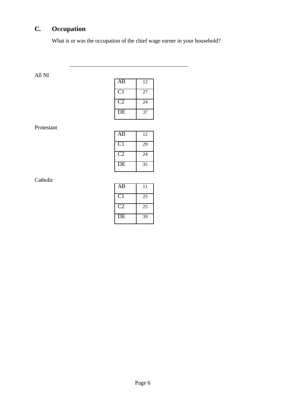# **C. Occupation**

 $\overline{a}$ 

What is or was the occupation of the chief wage earner in your household?

| AB                      | 12 |
|-------------------------|----|
| $\overline{\text{C}}$ 1 | 27 |
| C2                      | 24 |
| $\overline{DE}$         | 37 |

### Protestant

All NI

| AB             | 12 |
|----------------|----|
| C <sub>1</sub> | 29 |
| C2             | 24 |
| DE             | 35 |

| AB             | 11 |
|----------------|----|
| C <sub>1</sub> | 25 |
| C2             | 25 |
| DE             | 39 |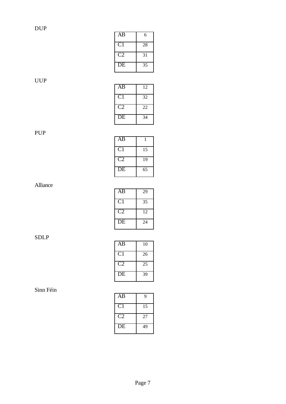| AB             | 6  |
|----------------|----|
| C <sub>1</sub> | 28 |
| C2             | 31 |
| DE             | 35 |

UUP

| AB             | 12 |
|----------------|----|
| C <sub>1</sub> | 32 |
| C2             | 22 |
| DE             | 34 |

# PUP

| AB              |    |
|-----------------|----|
| C <sub>1</sub>  | 15 |
| C <sub>2</sub>  | 19 |
| $\overline{DE}$ | 65 |

# Alliance

| AB             | 29 |
|----------------|----|
| C <sub>1</sub> | 35 |
| C2             | 12 |
| DЕ             | 24 |

# SDLP

| AB             | 10 |
|----------------|----|
| C <sub>1</sub> | 26 |
| C2             | 25 |
| DE             | 39 |

| AB           | 9  |
|--------------|----|
| $\mathbf{C}$ | 15 |
| C2           | 27 |
| DE           | 49 |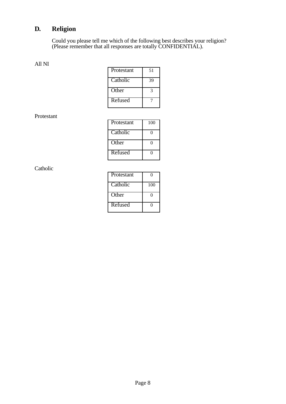# **D. Religion**

Could you please tell me which of the following best describes your religion? (Please remember that all responses are totally CONFIDENTIAL).

#### All NI

| Protestant | 51 |
|------------|----|
| Catholic   | 39 |
| Other      | 3  |
| Refused    |    |

#### Protestant

| Protestant | 100 |
|------------|-----|
| Catholic   |     |
| Other      |     |
| Refused    |     |

| Protestant |     |
|------------|-----|
| Catholic   | 100 |
| Other      |     |
| Refused    |     |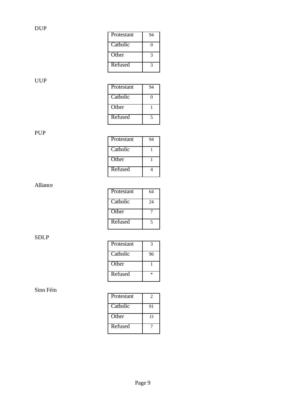| Protestant | 94 |
|------------|----|
| Catholic   | 0  |
| Other      | 3  |
| Refused    | 3  |
|            |    |

# UUP

| Protestant | 94 |
|------------|----|
| Catholic   | 0  |
| Other      |    |
| Refused    | 5  |

# PUP

| Protestant | 94 |
|------------|----|
| Catholic   |    |
| Other      |    |
| Refused    |    |

# Alliance

| Protestant | 64 |
|------------|----|
| Catholic   | 24 |
| Other      |    |
| Refused    | 5  |

# SDLP

| Protestant | 3  |
|------------|----|
| Catholic   | 96 |
| Other      |    |
| Refused    | ×  |

| Protestant | 2  |
|------------|----|
| Catholic   | 91 |
| Other      |    |
| Refused    |    |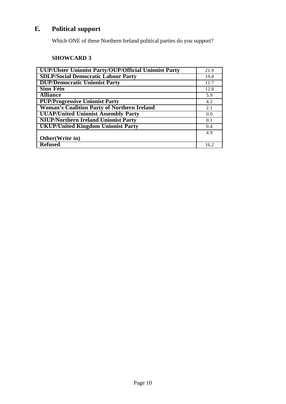# **E. Political support**

Which ONE of these Northern Ireland political parties do you support?

# **SHOWCARD 3**

| <b>UUP/Ulster Unionist Party/OUP/Official Unionist Party</b> | 21.9 |
|--------------------------------------------------------------|------|
| <b>SDLP/Social Democratic Labour Party</b>                   | 19.8 |
| <b>DUP/Democratic Unionist Party</b>                         | 11.7 |
| <b>Sinn Féin</b>                                             | 12.8 |
| <b>Alliance</b>                                              | 5.9  |
| <b>PUP/Progressive Unionist Party</b>                        | 4.2  |
| <b>Woman's Coalition Party of Northern Ireland</b>           | 2.1  |
| <b>UUAP/United Unionist Assembly Party</b>                   | 0.0  |
| <b>NIUP/Northern Ireland Unionist Party</b>                  | 0.1  |
| <b>UKUP/United Kingdom Unionist Party</b>                    | 0.4  |
|                                                              | 4.9  |
| Other (Write in)                                             |      |
| <b>Refused</b>                                               | 16.2 |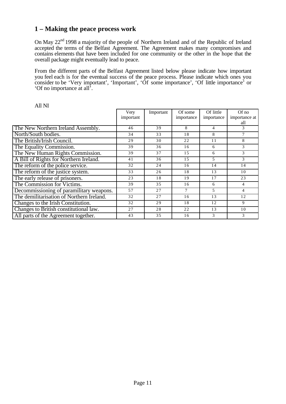# **1 – Making the peace process work**

On May 22<sup>nd</sup> 1998 a majority of the people of Northern Ireland and of the Republic of Ireland accepted the terms of the Belfast Agreement. The Agreement makes many compromises and contains elements that have been included for one community or the other in the hope that the overall package might eventually lead to peace.

From the different parts of the Belfast Agreement listed below please indicate how important you feel each is for the eventual success of the peace process. Please indicate which ones you consider to be 'Very important', 'Important', 'Of some importance', 'Of little importance' or 'Of no importance at all'.

|                                           | Very<br>important | Important | Of some<br>importance | Of little<br>importance | $Of$ no<br>importance at<br>all |
|-------------------------------------------|-------------------|-----------|-----------------------|-------------------------|---------------------------------|
| The New Northern Ireland Assembly.        | 46                | 39        | 8                     | 4                       | 3                               |
| North/South bodies.                       | 34                | 33        | 18                    | 8                       | $\tau$                          |
| The British/Irish Council.                | 29                | 30        | 22                    | 11                      | 8                               |
| The Equality Commission.                  | 39                | 36        | 16                    | 6                       | 3                               |
| The New Human Rights Commission.          | 39                | 37        | 15                    | 6                       | 3                               |
| A Bill of Rights for Northern Ireland.    | 41                | 36        | 15                    | 5                       | 3                               |
| The reform of the police service.         | 32                | 24        | 16                    | 14                      | 14                              |
| The reform of the justice system.         | 33                | 26        | 18                    | 13                      | 10                              |
| The early release of prisoners.           | 23                | 18        | 19                    | 17                      | 23                              |
| The Commission for Victims.               | 39                | 3.5       | 16                    | 6                       | 4                               |
| Decommissioning of paramilitary weapons.  | 57                | 27        | $\tau$                | 5                       | 4                               |
| The demilitarisation of Northern Ireland. | 32                | 27        | 16                    | 13                      | 12                              |
| Changes to the Irish Constitution.        | 32                | 29        | 18                    | 12                      | 9                               |
| Changes to British constitutional law.    | 27                | 28        | 22                    | 13                      | 10                              |
| All parts of the Agreement together.      | 43                | 35        | 16                    | 3                       | 3                               |

All NI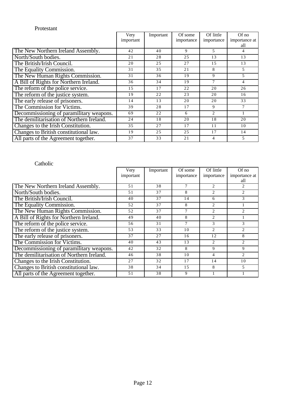### Protestant

|                                           | Very      | Important | Of some    | Of little      | $Of$ no        |
|-------------------------------------------|-----------|-----------|------------|----------------|----------------|
|                                           | important |           | importance | importance     | importance at  |
|                                           |           |           |            |                | all            |
| The New Northern Ireland Assembly.        | 42        | 40        | 9          | 5              | 4              |
| North/South bodies.                       | 21        | 28        | 25         | 13             | 13             |
| The British/Irish Council.                | 20        | 25        | 27         | 15             | 13             |
| The Equality Commission.                  | 31        | 35        | 21         | 8              | 5              |
| The New Human Rights Commission.          | 31        | 36        | 19         | 9              | 5              |
| A Bill of Rights for Northern Ireland.    | 36        | 34        | 19         | 7              | $\overline{4}$ |
| The reform of the police service.         | 15        | 17        | 22         | 20             | 26             |
| The reform of the justice system.         | 19        | 22        | 23         | 20             | 16             |
| The early release of prisoners.           | 14        | 13        | 20         | 20             | 33             |
| The Commission for Victims.               | 39        | 28        | 17         | 9              | 7              |
| Decommissioning of paramilitary weapons.  | 69        | 22        | 6          | $\overline{c}$ |                |
| The demilitarisation of Northern Ireland. | 24        | 18        | 20         | 18             | 20             |
| Changes to the Irish Constitution.        | 35        | 27        | 17         | 11             | 10             |
| Changes to British constitutional law.    | 19        | 25        | 25         | 17             | 14             |
| All parts of the Agreement together.      | 37        | 33        | 21         | 4              | 5              |

|                                           | Very      | Important | Of some        | Of little                   | $Of$ no        |
|-------------------------------------------|-----------|-----------|----------------|-----------------------------|----------------|
|                                           | important |           | importance     | importance                  | importance at  |
|                                           |           |           |                |                             | all            |
| The New Northern Ireland Assembly.        | 51        | 38        | 7              | $\mathcal{D}_{\mathcal{L}}$ | $\mathfrak{D}$ |
| North/South bodies.                       | 51        | 37        | 8              | $\mathfrak{D}$              | 2              |
| The British/Irish Council.                | 40        | 37        | 14             | 6                           | 3              |
| The Equality Commission.                  | 52        | 37        | 8              | $\overline{c}$              |                |
| The New Human Rights Commission.          | 52        | 37        | $\overline{7}$ | $\overline{c}$              | $\overline{2}$ |
| A Bill of Rights for Northern Ireland.    | 49        | 40        | 8              | $\overline{c}$              |                |
| The reform of the police service.         | 56        | 31        | 7              | 3                           | 3              |
| The reform of the justice system.         | 53        | 33        | 10             | $\mathcal{D}_{\mathcal{L}}$ | $\mathfrak{D}$ |
| The early release of prisoners.           | 37        | 27        | 16             | 12                          | 8              |
| The Commission for Victims.               | 40        | 43        | 13             | $\mathfrak{D}$              | $\overline{2}$ |
| Decommissioning of paramilitary weapons.  | 42        | 32        | 8              | 9                           | 9              |
| The demilitarisation of Northern Ireland. | 46        | 38        | 10             | 4                           | $\mathfrak{D}$ |
| Changes to the Irish Constitution.        | 27        | 32        | 17             | 14                          | 10             |
| Changes to British constitutional law.    | 38        | 34        | 15             | 8                           | 5              |
| All parts of the Agreement together.      | 51        | 38        | 9              |                             |                |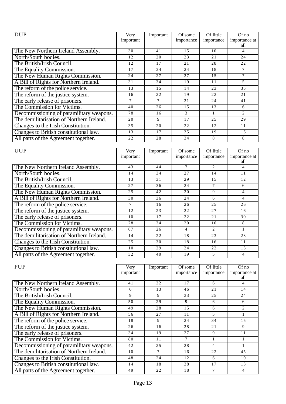| <b>DUP</b>                                | Very      | Important | Of some       | Of little  | Of no          |
|-------------------------------------------|-----------|-----------|---------------|------------|----------------|
|                                           | important |           | importance    | importance | importance at  |
|                                           |           |           |               |            | all            |
| The New Northern Ireland Assembly.        | 30        | 41        | 15            | 10         | 4              |
| North/South bodies.                       | 12        | 20        | 23            | 21         | 24             |
| The British/Irish Council.                | 12        | 17        | 21            | 28         | 22             |
| The Equality Commission.                  | 17        | 34        | 24            | 18         | 7              |
| The New Human Rights Commission.          | 24        | 27        | 27            | 15         | 7              |
| A Bill of Rights for Northern Ireland.    | 31        | 34        | 19            | 11         | 5              |
| The reform of the police service.         | 13        | 15        | 14            | 23         | 35             |
| The reform of the justice system.         | 16        | 22        | 19            | 22         | 21             |
| The early release of prisoners.           |           | 7         | 21            | 24         | 41             |
| The Commission for Victims.               | 40        | 26        | 15            | 13         | 6              |
| Decommissioning of paramilitary weapons.  | 78        | 16        | $\mathcal{F}$ |            | $\overline{c}$ |
| The demilitarisation of Northern Ireland. | 20        | 9         | 17            | 25         | 29             |
| Changes to the Irish Constitution.        | 35        | 20        | 22            | 12         | 11             |
| Changes to British constitutional law.    | 13        | 17        | 35            | 19         | 16             |
| All parts of the Agreement together.      | 22        | 28        | 34            | 8          | 8              |

| <b>UUP</b>                                | Very      | Important | Of some    | Of little      | $Of$ no       |
|-------------------------------------------|-----------|-----------|------------|----------------|---------------|
|                                           | important |           | importance | importance     | importance at |
|                                           |           |           |            |                | all           |
| The New Northern Ireland Assembly.        | 43        | 44        | 7          | $\mathfrak{D}$ | 4             |
| North/South bodies.                       | 14        | 34        | 27         | 14             | 11            |
| The British/Irish Council.                | 13        | 31        | 29         | 1.5            | 12            |
| The Equality Commission.                  | 27        | 36        | 24         | 7              | 6             |
| The New Human Rights Commission.          | 25        | 42        | 20         | 9              | 4             |
| A Bill of Rights for Northern Ireland.    | 30        | 36        | 24         | 6              | 4             |
| The reform of the police service.         | 7         | 16        | 26         | 25             | 26            |
| The reform of the justice system.         | 12        | 23        | 22         | 27             | 16            |
| The early release of prisoners.           | 10        | 17        | 22         | 21             | 30            |
| The Commission for Victims.               | 28        | 34        | 20         | 10             | 8             |
| Decommissioning of paramilitary weapons.  | 67        | 26        | 4          | $\overline{2}$ |               |
| The demilitarisation of Northern Ireland. | 14        | 22        | 18         | 23             | 23            |
| Changes to the Irish Constitution.        | 25        | 30        | 18         | 16             | 11            |
| Changes to British constitutional law.    | 10        | 29        | 24         | 22             | 15            |
| All parts of the Agreement together.      | 32        | 40        | 19         | 5              | 4             |

| <b>PUP</b>                                | Very<br>important | Important | Of some<br>importance | Of little<br>importance | $Of$ no<br>importance at |
|-------------------------------------------|-------------------|-----------|-----------------------|-------------------------|--------------------------|
|                                           |                   |           |                       |                         | all                      |
| The New Northern Ireland Assembly.        | 41                | 32        | 17                    | 6                       | 4                        |
| North/South bodies.                       | 6                 | 13        | 46                    | 21                      | 14                       |
| The British/Irish Council.                | 9                 | 9         | 33                    | 25                      | 24                       |
| The Equality Commission.                  | 50                | 29        | 9                     | 6                       | 6                        |
| The New Human Rights Commission.          | 49                | 28        | 1.5                   | 6                       | $\overline{2}$           |
| A Bill of Rights for Northern Ireland.    | 56                | 27        | 11                    | 5                       |                          |
| The reform of the police service.         | 18                | 9         | 24                    | 34                      | 15                       |
| The reform of the justice system.         | 26                | 16        | 28                    | 21                      | 9                        |
| The early release of prisoners.           | 34                | 19        | 27                    | 9                       | 11                       |
| The Commission for Victims.               | 80                | 11        | $\tau$                |                         |                          |
| Decommissioning of paramilitary weapons.  | 42                | 25        | 28                    | 4                       |                          |
| The demilitarisation of Northern Ireland. | 10                | 7         | 16                    | 22                      | 45                       |
| Changes to the Irish Constitution.        | 48                | 24        | 12                    | 6                       | 10                       |
| Changes to British constitutional law.    | 14                | 18        | 38                    | 17                      | 13                       |
| All parts of the Agreement together.      | 49                | 22        | 18                    | 7                       | 4                        |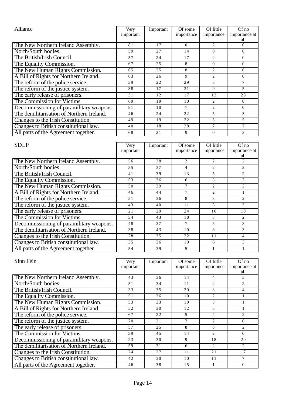| Alliance                                  | Very<br>important | Important | Of some<br>importance | Of little<br>importance     | $Of$ no<br>importance at |
|-------------------------------------------|-------------------|-----------|-----------------------|-----------------------------|--------------------------|
|                                           |                   |           |                       |                             | all                      |
| The New Northern Ireland Assembly.        | 81                | 17        | $\Omega$              | $\mathcal{D}_{\mathcal{L}}$ | $\Omega$                 |
| North/South bodies.                       | 59                | 27        | 14                    | $\Omega$                    | $\Omega$                 |
| The British/Irish Council.                | 57                | 24        | 17                    | $\mathfrak{D}$              | $\Omega$                 |
| The Equality Commission.                  | 67                | 25        | 8                     | 0                           | $\Omega$                 |
| The New Human Rights Commission.          | 65                | 25        | 8                     | $\mathfrak{D}$              | $\Omega$                 |
| A Bill of Rights for Northern Ireland.    | 63                | 26        | 9                     | $\mathcal{D}_{\mathcal{L}}$ | $\Omega$                 |
| The reform of the police service.         | 39                | 22        | 29                    | 3                           | 7                        |
| The reform of the justice system.         | 38                | 17        | 31                    | 9                           | $\overline{5}$           |
| The early release of prisoners.           | 31                | 12        | 17                    | 12                          | 28                       |
| The Commission for Victims.               | 69                | 19        | 10                    | $\mathcal{D}_{\mathcal{L}}$ | $\Omega$                 |
| Decommissioning of paramilitary weapons.  | 81                | 10        | 7                     | 2                           | $\Omega$                 |
| The demilitarisation of Northern Ireland. | 46                | 24        | 22                    | 5                           | 3                        |
| Changes to the Irish Constitution.        | 49                | 19        | 22                    | 5                           | 5                        |
| Changes to British constitutional law.    | 40                | 18        | 28                    | 7                           | 7                        |
| All parts of the Agreement together.      | 68                | 21        | 9                     | $\Omega$                    | $\mathfrak{D}$           |

| <b>SDLP</b>                               | Very      | Important | Of some    | Of little      | $Of$ no        |
|-------------------------------------------|-----------|-----------|------------|----------------|----------------|
|                                           | important |           | importance | importance     | importance at  |
|                                           |           |           |            |                | all            |
| The New Northern Ireland Assembly.        | 56        | 38        | 2          | $\overline{c}$ | $\overline{c}$ |
| North/South bodies.                       | 55        | 37        | 4          | $\overline{c}$ | $\overline{c}$ |
| The British/Irish Council.                | 41        | 39        | 13         | 5              | $\overline{c}$ |
| The Equality Commission.                  | 53        | 36        | 6          | 3              | $\overline{c}$ |
| The New Human Rights Commission.          | 50        | 39        |            | 2              | 2              |
| A Bill of Rights for Northern Ireland.    | 46        | 44        | 7          | $\mathfrak{D}$ |                |
| The reform of the police service.         | 51        | 36        | 8          | 3              | 2              |
| The reform of the justice system.         | 43        | 40        | 11         | 3              | 3              |
| The early release of prisoners.           | 21        | 29        | 24         | 16             | 10             |
| The Commission for Victims.               | 34        | 43        | 18         | 3              | $\overline{c}$ |
| Decommissioning of paramilitary weapons.  | 48        | 37        |            | 5              | 3              |
| The demilitarisation of Northern Ireland. | 38        | 43        | 10         | 6              | 3              |
| Changes to the Irish Constitution.        | 28        | 35        | 22         | 11             | 4              |
| Changes to British constitutional law.    | 35        | 36        | 19         | 6              | 3              |
| All parts of the Agreement together.      | 54        | 39        | 5          |                |                |

| Sinn Féin                                 | Very<br>important | Important | Of some<br>importance | Of little<br>importance     | $Of$ no<br>importance at    |
|-------------------------------------------|-------------------|-----------|-----------------------|-----------------------------|-----------------------------|
|                                           |                   |           |                       |                             | all                         |
| The New Northern Ireland Assembly.        | 43                | 36        | 14                    | 4                           | 3                           |
| North/South bodies.                       | 51                | 34        | 11                    | $\mathcal{D}_{\mathcal{L}}$ | $\mathcal{D}_{\mathcal{L}}$ |
| The British/Irish Council.                | 33                | 35        | 20                    | 8                           | 4                           |
| The Equality Commission.                  | 51                | 36        | 10                    | $\overline{c}$              |                             |
| The New Human Rights Commission.          | 53                | 33        | 10                    | 3                           |                             |
| A Bill of Rights for Northern Ireland.    | 52                | 30        | 12                    | 5                           |                             |
| The reform of the police service.         | 67                | 22        | 5                     | 4                           | $\mathfrak{D}$              |
| The reform of the justice system.         | 70                | 21        | 7                     | $\mathcal{D}_{\mathcal{L}}$ | $\Omega$                    |
| The early release of prisoners.           | 57                | 25        | 8                     | 8                           | $\mathfrak{D}$              |
| The Commission for Victims.               | 39                | 45        | 14                    | $\mathcal{D}_{\mathcal{L}}$ | $\Omega$                    |
| Decommissioning of paramilitary weapons.  | 23                | 30        | 9                     | 18                          | 20                          |
| The demilitarisation of Northern Ireland. | 59                | 31        | 6                     | $\mathcal{D}_{\mathcal{L}}$ | $\mathfrak{D}$              |
| Changes to the Irish Constitution.        | 24                | 27        | 11                    | 21                          | 17                          |
| Changes to British constitutional law.    | 42                | 30        | 10                    | 11                          | 7                           |
| All parts of the Agreement together.      | 46                | 38        | 1.5                   |                             | $\Omega$                    |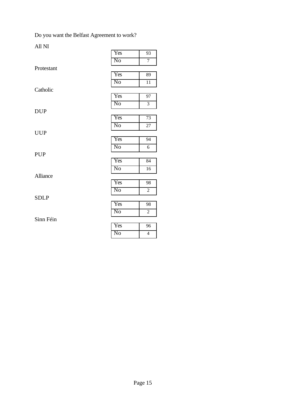Do you want the Belfast Agreement to work?

All NI

| * *** * **      |                        |                 |
|-----------------|------------------------|-----------------|
|                 | Yes                    | 93              |
|                 | N <sub>0</sub>         | $\overline{7}$  |
| Protestant      |                        |                 |
|                 | Yes                    | 89              |
|                 | N <sub>0</sub>         | 11              |
| Catholic        |                        |                 |
|                 | Yes                    | $\overline{97}$ |
|                 | N <sub>0</sub>         | $\overline{3}$  |
| <b>DUP</b>      |                        |                 |
|                 | Yes                    | 73              |
|                 | N <sub>0</sub>         | $\overline{27}$ |
| <b>UUP</b>      |                        |                 |
|                 | Yes                    | 94              |
|                 | $\overline{\text{No}}$ | 6               |
| PUP             |                        |                 |
|                 | Yes                    | 84              |
|                 | N <sub>o</sub>         | $\overline{16}$ |
| <b>Alliance</b> |                        |                 |
|                 | Yes                    | 98              |
|                 | No                     | $\overline{2}$  |
| <b>SDLP</b>     |                        |                 |
|                 | Yes                    | 98              |
|                 | $\overline{\text{No}}$ | $\overline{2}$  |
| Sinn Féin       |                        |                 |
|                 | Yes                    | $\overline{96}$ |
|                 | $\overline{\text{No}}$ | $\overline{4}$  |
|                 |                        |                 |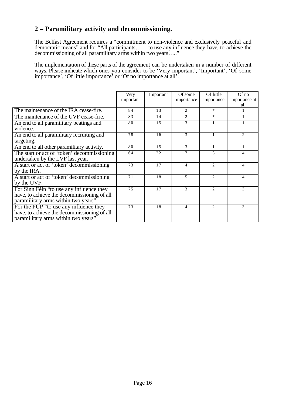# **2 – Paramilitary activity and decommissioning.**

The Belfast Agreement requires a "commitment to non-violence and exclusively peaceful and democratic means" and for "All participants…… to use any influence they have, to achieve the decommissioning of all paramilitary arms within two years….."

The implementation of these parts of the agreement can be undertaken in a number of different ways. Please indicate which ones you consider to be 'Very important', 'Important', 'Of some importance', 'Of little importance' or 'Of no importance at all'.

|                                             | Very      | Important | Of some        | Of little                   | $Of$ no                     |
|---------------------------------------------|-----------|-----------|----------------|-----------------------------|-----------------------------|
|                                             | important |           | importance     | importance                  | importance at               |
|                                             |           |           |                |                             | all                         |
| The maintenance of the IRA cease-fire.      | 84        | 13        | $\mathfrak{D}$ | $\ast$                      |                             |
| The maintenance of the UVF cease-fire.      | 83        | 14        | 2              | $\ast$                      |                             |
| An end to all paramilitary beatings and     | 80        | 15        | $\mathcal{F}$  |                             |                             |
| violence.                                   |           |           |                |                             |                             |
| An end to all paramilitary recruiting and   | 78        | 16        | $\mathcal{R}$  |                             | $\mathcal{D}_{\mathcal{L}}$ |
| targeting.                                  |           |           |                |                             |                             |
| An end to all other paramilitary activity.  | 80        | 15        | $\mathcal{F}$  | 1                           | 1                           |
| The start or act of 'token' decommissioning | 64        | 22        | 7              | 3                           | 4                           |
| undertaken by the LVF last year.            |           |           |                |                             |                             |
| A start or act of 'token' decommissioning   | 73        | 17        | $\overline{4}$ | $\mathfrak{D}$              | 4                           |
| by the IRA.                                 |           |           |                |                             |                             |
| A start or act of 'token' decommissioning   | 71        | 18        | $\overline{5}$ | $\mathfrak{D}$              | 4                           |
| by the UVF.                                 |           |           |                |                             |                             |
| For Sinn Féin "to use any influence they    | 75        | 17        | 3              | $\mathcal{D}_{\mathcal{L}}$ | 3                           |
| have, to achieve the decommissioning of all |           |           |                |                             |                             |
| paramilitary arms within two years"         |           |           |                |                             |                             |
| For the PUP "to use any influence they      | 73        | 18        | $\overline{4}$ | $\mathcal{D}_{\mathcal{L}}$ | 3                           |
| have, to achieve the decommissioning of all |           |           |                |                             |                             |
| paramilitary arms within two years"         |           |           |                |                             |                             |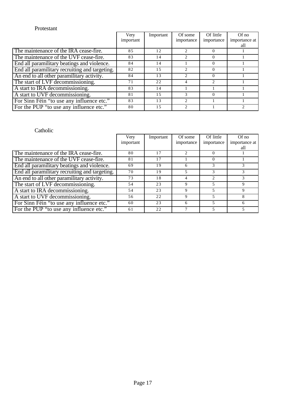## Protestant

|                                                | Very      | Important | Of some                       | Of little        | $Of$ no       |
|------------------------------------------------|-----------|-----------|-------------------------------|------------------|---------------|
|                                                | important |           | importance                    | importance       | importance at |
|                                                |           |           |                               |                  | all           |
| The maintenance of the IRA cease-fire.         | 85        | 12        | $\mathcal{D}_{\mathcal{L}}$   |                  |               |
| The maintenance of the UVF cease-fire.         | 83        | 14        | $\mathcal{D}_{\mathcal{L}}$   | $\theta$         |               |
| End all paramilitary beatings and violence.    | 84        | 14        |                               | $\theta$         |               |
| End all paramilitary recruiting and targeting. | 82        | 15        | $\mathfrak{D}_{\mathfrak{p}}$ | $\theta$         |               |
| An end to all other paramilitary activity.     | 84        | 13        | $\mathcal{D}_{\mathcal{A}}$   | 0                |               |
| The start of LVF decommissioning.              | 71        | 22        |                               |                  |               |
| A start to IRA decommissioning.                | 83        | 14        |                               |                  |               |
| A start to UVF decommissioning.                | 81        | 1.5       | 3                             | $\left( \right)$ |               |
| For Sinn Féin "to use any influence etc."      | 83        | 13        | $\mathcal{D}$                 |                  |               |
| For the PUP "to use any influence etc."        | 80        | 15        |                               |                  |               |

|                                                | Very      | Important | Of some       | Of little  | $Of$ no       |
|------------------------------------------------|-----------|-----------|---------------|------------|---------------|
|                                                | important |           | importance    | importance | importance at |
|                                                |           |           |               |            | all           |
| The maintenance of the IRA cease-fire.         | 80        | 17        | $\mathcal{D}$ | $\theta$   |               |
| The maintenance of the UVF cease-fire.         | 81        | 17        |               | $\theta$   |               |
| End all paramilitary beatings and violence.    | 69        | 19        | h             | 3          |               |
| End all paramilitary recruiting and targeting. | 70        | 19        |               |            |               |
| An end to all other paramilitary activity.     | 73        | 18        | 4             |            |               |
| The start of LVF decommissioning.              | 54        | 23        | 9             |            | 9             |
| A start to IRA decommissioning.                | 54        | 23        | 9             |            | 9             |
| A start to UVF decommissioning.                | 56        | 22        | Q             |            |               |
| For Sinn Féin "to use any influence etc."      | 60        | 23        | 6             |            | 6             |
| For the PUP "to use any influence etc."        | 61        | 22        |               |            |               |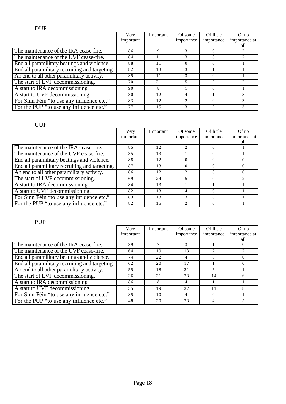|                                                | Very<br>important | Important | Of some<br>importance | Of little<br>importance | $Of$ no<br>importance at<br>all |
|------------------------------------------------|-------------------|-----------|-----------------------|-------------------------|---------------------------------|
| The maintenance of the IRA cease-fire.         | 86                | 9         |                       |                         |                                 |
| The maintenance of the UVF cease-fire.         | 84                | 11        | 3                     |                         |                                 |
| End all paramilitary beatings and violence.    | 88                | 11        | $\Omega$              | $\Omega$                |                                 |
| End all paramilitary recruiting and targeting. | 82                | 13        | 3                     |                         |                                 |
| An end to all other paramilitary activity.     | 85                | 11        | $\mathcal{R}$         | $\Omega$                |                                 |
| The start of LVF decommissioning.              | 70                | 21        |                       |                         |                                 |
| A start to IRA decommissioning.                | 90                | 8         |                       | $\Omega$                |                                 |
| A start to UVF decommissioning.                | 80                | 12        |                       |                         |                                 |
| For Sinn Féin "to use any influence etc."      | 83                | 12        |                       |                         |                                 |
| For the PUP "to use any influence etc."        | 77                | 15        |                       |                         |                                 |

# UUP

|                                                | Very<br>important | Important | Of some<br>importance         | Of little<br>importance | $Of$ no<br>importance at |
|------------------------------------------------|-------------------|-----------|-------------------------------|-------------------------|--------------------------|
|                                                |                   |           |                               |                         | all                      |
| The maintenance of the IRA cease-fire.         | 85                | 12        | $\mathcal{D}$                 |                         |                          |
| The maintenance of the UVF cease-fire.         | 85                | 13        |                               | 0                       |                          |
| End all paramilitary beatings and violence.    | 88                | 12        | $\Omega$                      |                         | $\Omega$                 |
| End all paramilitary recruiting and targeting. | 87                | 13        | $\Omega$                      | $\Omega$                | $\Omega$                 |
| An end to all other paramilitary activity.     | 86                | 12        | $\mathfrak{D}_{\mathfrak{p}}$ | $\Omega$                | $\Omega$                 |
| The start of LVF decommissioning.              | 69                | 24        |                               | $\Omega$                |                          |
| A start to IRA decommissioning.                | 84                | 13        |                               |                         |                          |
| A start to UVF decommissioning.                | 82                | 13        | 4                             |                         |                          |
| For Sinn Féin "to use any influence etc."      | 83                | 13        | 3                             | $\Omega$                |                          |
| For the PUP "to use any influence etc."        | 82                | 1.5       | $\mathcal{D}_{\mathcal{L}}$   |                         |                          |

# PUP

|                                                | Very      | Important | Of some      | Of little  | Of no         |
|------------------------------------------------|-----------|-----------|--------------|------------|---------------|
|                                                | important |           | importance   | importance | importance at |
|                                                |           |           |              |            | all           |
| The maintenance of the IRA cease-fire.         | 89        |           | $\mathbf{3}$ |            | $\Omega$      |
| The maintenance of the UVF cease-fire.         | 64        | 19        | 13           |            |               |
| End all paramilitary beatings and violence.    | 74        | 22        | 4            | 0          | $\Omega$      |
| End all paramilitary recruiting and targeting. | 62        | 20        | 17           |            | $\Omega$      |
| An end to all other paramilitary activity.     | 55        | 18        | 2.1          |            |               |
| The start of LVF decommissioning.              | 36        | 21        | 23           | 14         | 6             |
| A start to IRA decommissioning.                | 86        | 8         | 4            |            |               |
| A start to UVF decommissioning.                | 35        | 19        | 2.7          |            | 8             |
| For Sinn Féin "to use any influence etc."      | 85        | 10        | 4            | $\Omega$   |               |
| For the PUP "to use any influence etc."        | 48        | 20        | 23           |            |               |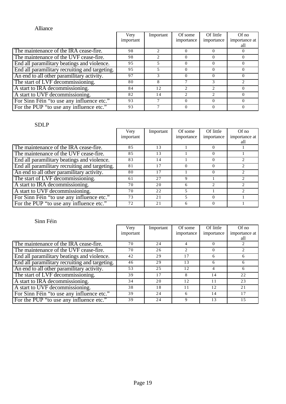# Alliance

|                                                | Very      | Important                     | Of some       | Of little  | $Of$ no       |
|------------------------------------------------|-----------|-------------------------------|---------------|------------|---------------|
|                                                | important |                               | importance    | importance | importance at |
|                                                |           |                               |               |            | all           |
| The maintenance of the IRA cease-fire.         | 98        | $\mathfrak{D}_{\mathfrak{p}}$ | $\Omega$      |            | $\theta$      |
| The maintenance of the UVF cease-fire.         | 98        |                               | $\Omega$      |            | $\theta$      |
| End all paramilitary beatings and violence.    | 95        | 5                             | $\Omega$      | $\theta$   | $\Omega$      |
| End all paramilitary recruiting and targeting. | 95        | 5                             | $\Omega$      | $\Omega$   | $\Omega$      |
| An end to all other paramilitary activity.     | 97        | 3                             | $\Omega$      |            | $\Omega$      |
| The start of LVF decommissioning.              | 80        | 8                             |               |            |               |
| A start to IRA decommissioning.                | 84        | 12                            |               |            | $\Omega$      |
| A start to UVF decommissioning.                | 82        | 14                            | $\mathcal{D}$ |            | $\Omega$      |
| For Sinn Féin "to use any influence etc."      | 93        |                               | $\Omega$      |            | $\Omega$      |
| For the PUP "to use any influence etc."        | 93        |                               | $\Omega$      |            | $\Omega$      |

# SDLP

|                                                | Very<br>important | Important | Of some<br>importance | Of little<br>importance | Of no<br>importance at |
|------------------------------------------------|-------------------|-----------|-----------------------|-------------------------|------------------------|
|                                                |                   |           |                       |                         | all                    |
| The maintenance of the IRA cease-fire.         | 85                | 13        |                       |                         |                        |
| The maintenance of the UVF cease-fire.         | 85                | 13        |                       |                         |                        |
| End all paramilitary beatings and violence.    | 83                | 14        |                       | $\theta$                |                        |
| End all paramilitary recruiting and targeting. | 81                | 17        | $\Omega$              | $\theta$                |                        |
| An end to all other paramilitary activity.     | 80                | 17        |                       | $\Omega$                | 2                      |
| The start of LVF decommissioning.              | 61                | 27        | 9                     |                         |                        |
| A start to IRA decommissioning.                | 70                | 20        | 6                     |                         |                        |
| A start to UVF decommissioning.                | 70                | 22        |                       |                         |                        |
| For Sinn Féin "to use any influence etc."      | 73                | 21        |                       |                         |                        |
| For the PUP "to use any influence etc."        | 72                | 21        | 6                     | $\Omega$                |                        |

|                                                | Very      | Important | Of some        | Of little  | $Of$ no       |
|------------------------------------------------|-----------|-----------|----------------|------------|---------------|
|                                                | important |           | importance     | importance | importance at |
|                                                |           |           |                |            | all           |
| The maintenance of the IRA cease-fire.         | 70        | 24        | 4              |            |               |
| The maintenance of the UVF cease-fire.         | 70        | 26        | $\mathfrak{D}$ | $\Omega$   |               |
| End all paramilitary beatings and violence.    | 42        | 29        | 17             | 6          | 6             |
| End all paramilitary recruiting and targeting. | 46        | 29        | 13             | 6          | 6             |
| An end to all other paramilitary activity.     | 53        | 25        | 12             |            | 6             |
| The start of LVF decommissioning.              | 39        | 17        | 8              | 14         | 22            |
| A start to IRA decommissioning.                | 34        | 20        | 12.            | 11         | 23            |
| A start to UVF decommissioning.                | 38        | 18        |                | 12         | 21            |
| For Sinn Féin "to use any influence etc."      | 39        | 24        | 6              | 14         | 17            |
| For the PUP "to use any influence etc."        | 39        | 24        | 9              | 13         | 15            |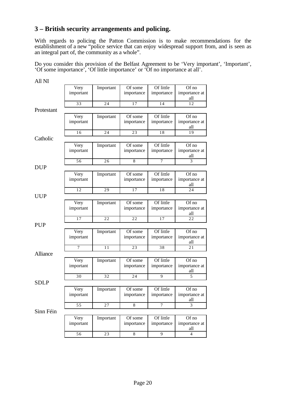# **3 – British security arrangements and policing.**

With regards to policing the Patton Commission is to make recommendations for the establishment of a new "police service that can enjoy widespread support from, and is seen as an integral part of, the community as a whole".

Do you consider this provision of the Belfast Agreement to be 'Very important', 'Important', 'Of some importance', 'Of little importance' or 'Of no importance at all'.

| All NI      |                   |           |                       |                         |                               |
|-------------|-------------------|-----------|-----------------------|-------------------------|-------------------------------|
|             | Very<br>important | Important | Of some<br>importance | Of little<br>importance | Of no<br>importance at<br>all |
|             | 33                | 24        | 17                    | 14                      | 12                            |
| Protestant  |                   |           |                       |                         |                               |
|             | Very<br>important | Important | Of some<br>importance | Of little<br>importance | Of no<br>importance at<br>all |
|             | 16                | 24        | 23                    | 18                      | 19                            |
| Catholic    |                   |           |                       |                         |                               |
|             | Very<br>important | Important | Of some<br>importance | Of little<br>importance | Of no<br>importance at<br>all |
|             | 56                | 26        | 8                     | $\overline{7}$          | 3                             |
| <b>DUP</b>  |                   |           |                       |                         |                               |
|             | Very<br>important | Important | Of some<br>importance | Of little<br>importance | Of no<br>importance at<br>all |
|             | 12                | 29        | 17                    | 18                      | 24                            |
| <b>UUP</b>  |                   |           |                       |                         |                               |
|             | Very<br>important | Important | Of some<br>importance | Of little<br>importance | Of no<br>importance at<br>all |
|             | 17                | 22        | 22                    | 17                      | 22                            |
| <b>PUP</b>  |                   |           |                       |                         |                               |
|             | Very<br>important | Important | Of some<br>importance | Of little<br>importance | Of no<br>importance at<br>all |
|             | $\overline{7}$    | 11        | 23                    | 38                      | 21                            |
| Alliance    |                   |           |                       |                         |                               |
|             | Very<br>important | Important | Of some<br>importance | Of little<br>importance | Of no<br>importance at<br>all |
|             | 30                | 32        | 24                    | 9                       | 5                             |
| <b>SDLP</b> |                   |           |                       |                         |                               |
|             | Very<br>important | Important | Of some<br>importance | Of little<br>importance | Of no<br>importance at<br>all |
|             | 55                | 27        | 8                     | $\overline{7}$          | 3                             |
| Sinn Féin   |                   |           |                       |                         |                               |
|             | Very<br>important | Important | Of some<br>importance | Of little<br>importance | Of no<br>importance at<br>all |
|             | 56                | 23        | $\,$ 8 $\,$           | 9                       | 4                             |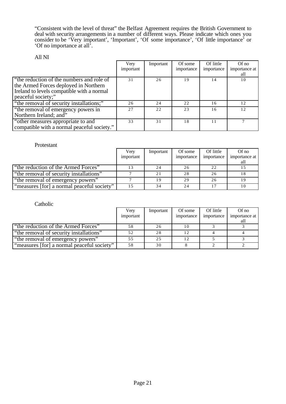"Consistent with the level of threat" the Belfast Agreement requires the British Government to deal with security arrangements in a number of different ways. Please indicate which ones you consider to be 'Very important', 'Important', 'Of some importance', 'Of little importance' or 'Of no importance at all'.

### All NI

|                                                                                    | Very      | Important | Of some    | Of little  | Of no         |
|------------------------------------------------------------------------------------|-----------|-----------|------------|------------|---------------|
|                                                                                    | important |           | importance | importance | importance at |
|                                                                                    |           |           |            |            | all           |
| "the reduction of the numbers and role of<br>the Armed Forces deployed in Northern | 31        | 26        | 19         | 14         | 10            |
| Ireland to levels compatible with a normal<br>peaceful society;"                   |           |           |            |            |               |
| "the removal of security installations;"                                           | 26        | 24        | 22         | 16         | 12            |
| "the removal of emergency powers in<br>Northern Ireland; and"                      | 2.7       | 2.2.      | 23         | 16         | 12.           |
| "other measures appropriate to and<br>compatible with a normal peaceful society."  | 33        | 31        | 18         |            |               |

#### Protestant

|                                            | Verv      | Important | Of some    | Of little  | $Of$ no       |
|--------------------------------------------|-----------|-----------|------------|------------|---------------|
|                                            | important |           | importance | importance | importance at |
|                                            |           |           |            |            | all           |
| "the reduction of the Armed Forces"        |           | 24        |            | 22         |               |
| "the removal of security installations"    |           | 21        | 28         | 26         |               |
| "the removal of emergency powers"          |           | 19        | 29         | 26         |               |
| "measures [for] a normal peaceful society" | 15        | 34        |            |            |               |

|                                            | Very      | Important | Of some    | Of little  | $Of$ no       |
|--------------------------------------------|-----------|-----------|------------|------------|---------------|
|                                            | important |           | importance | importance | importance at |
|                                            |           |           |            |            | all           |
| "the reduction of the Armed Forces"        | 58        | 26        | 10         |            |               |
| "the removal of security installations"    | 52        | 28        |            |            |               |
| "the removal of emergency powers"          | 55        | 25        | 12         |            |               |
| "measures [for] a normal peaceful society" | 58        | 30        |            |            |               |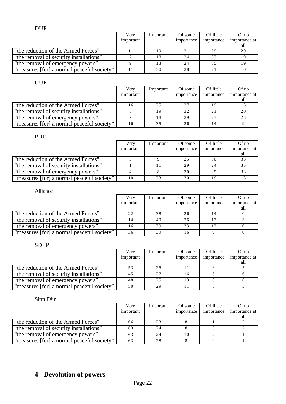|                                            | Verv      | Important | Of some    | Of little   | $Of$ no       |
|--------------------------------------------|-----------|-----------|------------|-------------|---------------|
|                                            | important |           | importance | importance  | importance at |
|                                            |           |           |            |             | all           |
| "the reduction of the Armed Forces"        |           | 19        | 21         | 29          | 20            |
| "the removal of security installations"    |           | 18        | 24         | 32          |               |
| "the removal of emergency powers"          |           | 13        | 2.4        |             |               |
| "measures [for] a normal peaceful society" |           | 30        | 28         | $\bigcap$ 1 |               |

## UUP

|                                            | Very<br>important | Important | Of some<br>importance | Of little<br>importance | $Of$ no<br>importance at |
|--------------------------------------------|-------------------|-----------|-----------------------|-------------------------|--------------------------|
|                                            |                   |           |                       |                         | all                      |
| "the reduction of the Armed Forces"        | -6                | 25        | 27                    |                         | 13                       |
| "the removal of security installations"    |                   | 19        | 32                    | 2.1                     | 20                       |
| "the removal of emergency powers"          |                   | 18        | 29                    | 23                      | 23                       |
| "measures [for] a normal peaceful society" | 16                | 35        | 26                    |                         |                          |

# PUP

|                                            | Very      | Important | Of some    | Of little  | $Of$ no       |
|--------------------------------------------|-----------|-----------|------------|------------|---------------|
|                                            | important |           | importance | importance | importance at |
|                                            |           |           |            |            | all           |
| "the reduction of the Armed Forces"        |           |           | 25         | 30         | 33            |
| "the removal of security installations"    |           |           | 29         | 24         | 35            |
| "the removal of emergency powers"          |           |           | 30         | 25         | 33            |
| "measures [for] a normal peaceful society" | 10        | 23        | 30         |            | 18            |

## Alliance

|                                            | Very      | Important | Of some    | Of little  | $Of$ no       |
|--------------------------------------------|-----------|-----------|------------|------------|---------------|
|                                            | important |           | importance | importance | importance at |
|                                            |           |           |            |            | all           |
| "the reduction of the Armed Forces"        | 22        | 38        | 26         |            |               |
| "the removal of security installations"    |           | 40        | 26         |            |               |
| "the removal of emergency powers"          | 16        | 39        | 33         |            |               |
| "measures [for] a normal peaceful society" | 36        | 39        |            |            |               |

# SDLP

|                                            | Very      | Important | Of some    | Of little  | $Of$ no       |
|--------------------------------------------|-----------|-----------|------------|------------|---------------|
|                                            | important |           | importance | importance | importance at |
|                                            |           |           |            |            | all           |
| "the reduction of the Armed Forces"        | 53        | 25        |            |            |               |
| "the removal of security installations"    | 45        | 27        | 16         |            |               |
| "the removal of emergency powers"          | 48        | 25        |            |            |               |
| "measures [for] a normal peaceful society" | 50        | 29        |            |            |               |

Sinn Féin

|                                            | Verv      | Important | Of some    | Of little  | $Of$ no       |
|--------------------------------------------|-----------|-----------|------------|------------|---------------|
|                                            | important |           | importance | importance | importance at |
|                                            |           |           |            |            | all           |
| "the reduction of the Armed Forces"        | 66        | 23        |            |            |               |
| "the removal of security installations"    | 63        | 24        |            |            |               |
| "the removal of emergency powers"          | 63        | 24        | 10         |            |               |
| "measures [for] a normal peaceful society" | 63        | 28        |            |            |               |

# **4 - Devolution of powers**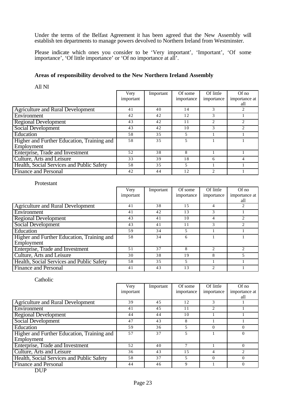Under the terms of the Belfast Agreement it has been agreed that the New Assembly will establish ten departments to manage powers devolved to Northern Ireland from Westminster.

Please indicate which ones you consider to be 'Very important', 'Important', 'Of some importance', 'Of little importance' or 'Of no importance at all'.

#### **Areas of responsibility devolved to the New Northern Ireland Assembly**

All NI

|                                            | Very      | Important | Of some    | Of little                   | $Of$ no                       |
|--------------------------------------------|-----------|-----------|------------|-----------------------------|-------------------------------|
|                                            | important |           | importance | importance                  | importance at                 |
|                                            |           |           |            |                             | all                           |
| <b>Agriculture and Rural Development</b>   | 41        | 40        | 14         | 3                           | $\mathfrak{D}_{\mathfrak{p}}$ |
| Environment                                | 42        | 42        | 12         | 3                           |                               |
| <b>Regional Development</b>                | 43        | 42        | 11         | 2                           |                               |
| <b>Social Development</b>                  | 43        | 42        | 10         | 3                           | $\mathfrak{D}$                |
| Education                                  | 58        | 35        | 5          |                             |                               |
| Higher and Further Education, Training and | 58        | 35        | 5          |                             |                               |
| Employment                                 |           |           |            |                             |                               |
| Enterprise, Trade and Investment           | 52        | 38        | 8          |                             |                               |
| Culture, Arts and Leisure                  | 33        | 39        | 18         | 6                           |                               |
| Health, Social Services and Public Safety  | 58        | 35        | 5          |                             |                               |
| <b>Finance and Personal</b>                | 42        | 44        | 12         | $\mathcal{D}_{\mathcal{A}}$ |                               |

#### Protestant

|                                            | Very      | Important | Of some    | Of little      | $Of$ no                       |
|--------------------------------------------|-----------|-----------|------------|----------------|-------------------------------|
|                                            | important |           | importance | importance     | importance at                 |
|                                            |           |           |            |                | all                           |
| <b>Agriculture and Rural Development</b>   | 41        | 38        | 1.5        | 4              |                               |
| Environment                                | 41        | 42        | 13         | 3              |                               |
| <b>Regional Development</b>                | 43        | 41        | 10         | 4              | $\mathfrak{D}_{\mathfrak{p}}$ |
| <b>Social Development</b>                  | 43        | 41        | 11         | 3              | $\mathfrak{D}$                |
| Education                                  | 59        | 34        | 5          |                |                               |
| Higher and Further Education, Training and | 58        | 34        | 6          |                |                               |
| Employment                                 |           |           |            |                |                               |
| Enterprise, Trade and Investment           | 51        | 37        | 8          | $\mathfrak{D}$ |                               |
| Culture, Arts and Leisure                  | 30        | 38        | 19         | 8              | 5                             |
| Health, Social Services and Public Safety  | 58        | 3.5       | 5          |                |                               |
| <b>Finance and Personal</b>                | 41        | 43        | 13         |                |                               |

#### Catholic

|                                            | Very      | Important | Of some    | Of little  | $Of$ no        |
|--------------------------------------------|-----------|-----------|------------|------------|----------------|
|                                            | important |           | importance | importance | importance at  |
|                                            |           |           |            |            | all            |
| <b>Agriculture and Rural Development</b>   | 39        | 45        | 12.        | 3          |                |
| Environment                                | 41        | 45        | 11         |            |                |
| <b>Regional Development</b>                | 44        | 44        | 10         |            |                |
| <b>Social Development</b>                  | 47        | 43        | 8          |            |                |
| Education                                  | 59        | 36        | 5          | $\Omega$   | $\Omega$       |
| Higher and Further Education, Training and | 57        | 37        | 5          |            | $\Omega$       |
| Employment                                 |           |           |            |            |                |
| Enterprise, Trade and Investment           | 52        | 40        |            |            | $\Omega$       |
| Culture, Arts and Leisure                  | 36        | 43        | 1.5        | 4          | $\mathfrak{D}$ |
| Health, Social Services and Public Safety  | 58        | 37        | 5          | $\Omega$   | $\Omega$       |
| <b>Finance and Personal</b>                | 44        | 46        | 9          |            | $\Omega$       |

DUP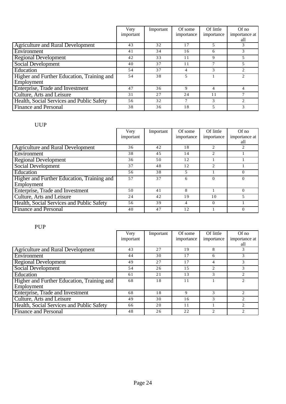|                                            | Very      | Important | Of some    | Of little  | $Of$ no                     |
|--------------------------------------------|-----------|-----------|------------|------------|-----------------------------|
|                                            | important |           | importance | importance | importance at<br>all        |
| <b>Agriculture and Rural Development</b>   | 43        | 32        | 17         |            |                             |
| Environment                                | 41        | 34        | 16         | 6          | 3                           |
| <b>Regional Development</b>                | 42        | 33        | 11         | 9          | 5                           |
| Social Development                         | 40        | 37        | 11         |            |                             |
| Education                                  | 54        | 37        | 4          | 3          | $\mathcal{D}_{\mathcal{A}}$ |
| Higher and Further Education, Training and | 54        | 38        | 5          |            |                             |
| Employment                                 |           |           |            |            |                             |
| Enterprise, Trade and Investment           | 47        | 36        | 9          | 4          |                             |
| Culture, Arts and Leisure                  | 31        | 27        | 24         | 11         |                             |
| Health, Social Services and Public Safety  | 56        | 32        |            | 3          | $\mathfrak{D}$              |
| <b>Finance and Personal</b>                | 38        | 36        | 18         |            | 3                           |

# UUP

|                                            | Very<br>important | Important | Of some<br>importance | Of little<br>importance | $Of$ no<br>importance at |
|--------------------------------------------|-------------------|-----------|-----------------------|-------------------------|--------------------------|
|                                            |                   |           |                       |                         | all                      |
| <b>Agriculture and Rural Development</b>   | 36                | 42        | 18                    | $\mathfrak{D}$          |                          |
| Environment                                | 38                | 45        | 14                    | $\mathfrak{D}$          |                          |
| <b>Regional Development</b>                | 36                | 50        | 12                    |                         |                          |
| <b>Social Development</b>                  | 37                | 48        | 12                    |                         |                          |
| Education                                  | 56                | 38        | 5                     |                         | $\Omega$                 |
| Higher and Further Education, Training and | 57                | 37        | 6                     | $\Omega$                | $\Omega$                 |
| Employment                                 |                   |           |                       |                         |                          |
| Enterprise, Trade and Investment           | 50                | 41        | 8                     |                         | $\Omega$                 |
| Culture, Arts and Leisure                  | 24                | 42        | 19                    | 10                      |                          |
| Health, Social Services and Public Safety  | 56                | 39        | 4                     | $\Omega$                |                          |
| <b>Finance and Personal</b>                | 40                | 47        | 12                    |                         | $\theta$                 |

PUP

|                                            | Very      | Important | Of some    | Of little      | $Of$ no                       |
|--------------------------------------------|-----------|-----------|------------|----------------|-------------------------------|
|                                            | important |           | importance | importance     | importance at                 |
|                                            |           |           |            |                | all                           |
| <b>Agriculture and Rural Development</b>   | 43        | 27        | 19         | 8              | 3                             |
| Environment                                | 44        | 30        | 17         | 6              | 3                             |
| <b>Regional Development</b>                | 49        | 27        | 17         |                | 3                             |
| <b>Social Development</b>                  | 54        | 26        | 1.5        | $\mathfrak{D}$ | 3                             |
| Education                                  | 61        | 21        | 13         | 3              | $\mathcal{D}_{\mathcal{L}}$   |
| Higher and Further Education, Training and | 68        | 18        | 11         |                |                               |
| Employment                                 |           |           |            |                |                               |
| Enterprise, Trade and Investment           | 68        | 18        | 9          | 3              | $\mathfrak{D}_{\mathfrak{p}}$ |
| Culture, Arts and Leisure                  | 49        | 30        | 16         | 3              | $\mathfrak{D}_{\mathfrak{p}}$ |
| Health, Social Services and Public Safety  | 66        | 20        | 11         |                |                               |
| <b>Finance and Personal</b>                | 48        | 26        | 22         | $\mathfrak{D}$ | $\mathfrak{D}_{\mathfrak{p}}$ |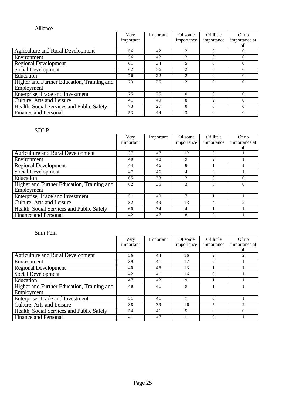|                                            | Very<br>important | Important | Of some<br>importance         | Of little<br>importance | $Of$ no<br>importance at |
|--------------------------------------------|-------------------|-----------|-------------------------------|-------------------------|--------------------------|
|                                            |                   |           |                               |                         | all                      |
| <b>Agriculture and Rural Development</b>   | 56                | 42        | $\mathfrak{D}$                | 0                       | $\theta$                 |
| Environment                                | 56                | 42        | $\mathfrak{D}_{\mathfrak{p}}$ | $\Omega$                | $\Omega$                 |
| <b>Regional Development</b>                | 61                | 34        | 5                             |                         | $\Omega$                 |
| Social Development                         | 62                | 36        | 2                             | $\Omega$                | $\Omega$                 |
| Education                                  | 76                | 22        | $\mathfrak{D}$                | $\Omega$                | $\Omega$                 |
| Higher and Further Education, Training and | 73                | 25        | $\mathfrak{D}$                | $\Omega$                | $\Omega$                 |
| Employment                                 |                   |           |                               |                         |                          |
| Enterprise, Trade and Investment           | 75                | 25        | $\Omega$                      | $\Omega$                | $\Omega$                 |
| Culture, Arts and Leisure                  | 41                | 49        | 8                             | $\mathfrak{D}$          | $\Omega$                 |
| Health, Social Services and Public Safety  | 73                | 27        | $\Omega$                      | $\Omega$                | $\Omega$                 |
| <b>Finance and Personal</b>                | 53                | 44        | 3                             | 0                       | $\Omega$                 |

# SDLP

|                                            | Very      | Important | Of some                     | Of little      | $Of$ no       |
|--------------------------------------------|-----------|-----------|-----------------------------|----------------|---------------|
|                                            | important |           | importance                  | importance     | importance at |
|                                            |           |           |                             |                | all           |
| <b>Agriculture and Rural Development</b>   | 37        | 47        | 12                          | 3              |               |
| Environment                                | 40        | 48        | 9                           | $\mathfrak{D}$ |               |
| <b>Regional Development</b>                | 44        | 46        | 8                           |                |               |
| <b>Social Development</b>                  | 47        | 46        | $\overline{4}$              | 2              |               |
| Education                                  | 65        | 33        | $\mathcal{D}_{\mathcal{L}}$ | $\Omega$       | $\Omega$      |
| Higher and Further Education, Training and | 62        | 35        | 3                           | $\Omega$       | $\Omega$      |
| Employment                                 |           |           |                             |                |               |
| Enterprise, Trade and Investment           | 51        | 40        |                             |                |               |
| Culture, Arts and Leisure                  | 32        | 49        | 13                          | 4              | 2             |
| Health, Social Services and Public Safety  | 60        | 34        | $\overline{4}$              |                |               |
| <b>Finance and Personal</b>                | 42        | 47        | 8                           | C              |               |

|                                            | Very      | Important | Of some    | Of little      | $Of$ no        |
|--------------------------------------------|-----------|-----------|------------|----------------|----------------|
|                                            | important |           | importance | importance     | importance at  |
|                                            |           |           |            |                | all            |
| <b>Agriculture and Rural Development</b>   | 36        | 44        | 16         | $\mathfrak{D}$ | $\mathfrak{D}$ |
| Environment                                | 39        | 41        | 17         | 2              |                |
| <b>Regional Development</b>                | 40        | 45        | 13         |                |                |
| <b>Social Development</b>                  | 42        | 41        | 16         | $\Omega$       |                |
| Education                                  | 47        | 42        | 9          |                |                |
| Higher and Further Education, Training and | 48        | 41        | 9          |                |                |
| Employment                                 |           |           |            |                |                |
| Enterprise, Trade and Investment           | 51        | 41        |            | $\Omega$       |                |
| Culture, Arts and Leisure                  | 38        | 39        | 16         | 5              |                |
| Health, Social Services and Public Safety  | 54        | 41        | 5          | $\Omega$       | $\Omega$       |
| <b>Finance and Personal</b>                | 41        | 47        |            | $\Omega$       |                |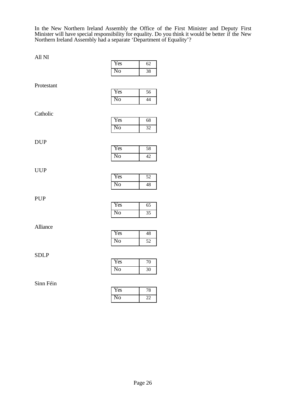In the New Northern Ireland Assembly the Office of the First Minister and Deputy First Minister will have special responsibility for equality. Do you think it would be better if the New Northern Ireland Assembly had a separate 'Department of Equality'?

All NI

|             | Yes                    | 62              |
|-------------|------------------------|-----------------|
|             | No                     | 38              |
| Protestant  |                        |                 |
|             | Yes                    | 56              |
|             | N <sub>0</sub>         | 44              |
|             |                        |                 |
| Catholic    |                        |                 |
|             | Yes                    | 68              |
|             | $\overline{N_0}$       | 32              |
| <b>DUP</b>  |                        |                 |
|             | Yes                    | 58              |
|             | $\overline{\text{No}}$ | 42              |
|             |                        |                 |
| <b>UUP</b>  | Yes                    | 52              |
|             | N <sub>o</sub>         | $\sqrt{48}$     |
|             |                        |                 |
| PUP         |                        |                 |
|             | Yes                    | $\overline{65}$ |
|             | N <sub>0</sub>         | $\overline{35}$ |
|             |                        |                 |
| Alliance    | Yes                    | $\sqrt{48}$     |
|             | $\overline{\text{No}}$ | $\overline{52}$ |
|             |                        |                 |
| <b>SDLP</b> |                        |                 |
|             | Yes                    | $\overline{70}$ |
|             | $\overline{\text{No}}$ | $30\,$          |
| Sinn Féin   |                        |                 |
|             | Yes                    | 78              |
|             |                        |                 |

No 22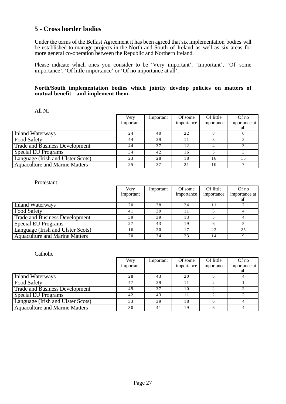## **5 - Cross border bodies**

Under the terms of the Belfast Agreement it has been agreed that six implementation bodies will be established to manage projects in the North and South of Ireland as well as six areas for more general co-operation between the Republic and Northern Ireland.

Please indicate which ones you consider to be 'Very important', 'Important', 'Of some importance', 'Of little importance' or 'Of no importance at all'.

### **North/South implementation bodies which jointly develop policies on matters of mutual benefit - and implement them.**

#### All NI

|                                       | Very      | Important | Of some    | Of little  | $Of$ no       |
|---------------------------------------|-----------|-----------|------------|------------|---------------|
|                                       | important |           | importance | importance | importance at |
|                                       |           |           |            |            | all           |
| Inland Waterways                      | 24        | 40        | 22.        |            |               |
| <b>Food Safety</b>                    | 44        | 39        |            |            |               |
| <b>Trade and Business Development</b> | 44        | 37        | 12         |            |               |
| <b>Special EU Programs</b>            | 34        | 42        | 16         |            |               |
| Language (Irish and Ulster Scots)     | 23        | 28        | 18         | 16         | 15            |
| <b>Aquaculture and Marine Matters</b> | 25        | 37        | 2.1        | 10         |               |

#### Protestant

|                                       | Verv      | Important | Of some    | Of little  | $Of$ no       |
|---------------------------------------|-----------|-----------|------------|------------|---------------|
|                                       | important |           | importance | importance | importance at |
|                                       |           |           |            |            | all           |
| Inland Waterways                      | 20        | 38        | 24         |            |               |
| <b>Food Safety</b>                    | 41        | 39        |            |            |               |
| <b>Trade and Business Development</b> | 39        | 39        | 13         |            |               |
| <b>Special EU Programs</b>            | 27        | 43        | 19         |            |               |
| Language (Irish and Ulster Scots)     | 16        | 20        |            | 22         | 25            |
| <b>Aquaculture and Marine Matters</b> | 20        | 34        | 23         | 14         |               |

|                                       | Very      | Important | Of some    | Of little  | Of no         |
|---------------------------------------|-----------|-----------|------------|------------|---------------|
|                                       | important |           | importance | importance | importance at |
|                                       |           |           |            |            | all           |
| <b>Inland Waterways</b>               | 28        | 43        | 20         |            |               |
| <b>Food Safety</b>                    | 47        | 39        |            |            |               |
| <b>Trade and Business Development</b> | 49        | 37        | 10         |            |               |
| <b>Special EU Programs</b>            | 42        | 43        |            |            |               |
| Language (Irish and Ulster Scots)     | 33        | 39        | 18         |            |               |
| <b>Aquaculture and Marine Matters</b> | 30        | 41        | 19         |            |               |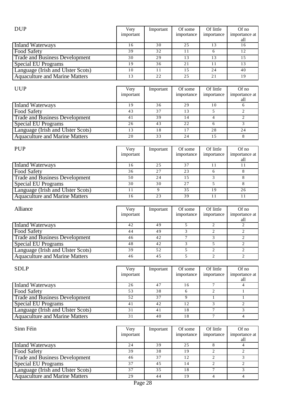| <b>DUP</b>                            | Very<br>important | Important | Of some<br>importance | Of little<br>importance | $Of$ no<br>importance at<br>all |
|---------------------------------------|-------------------|-----------|-----------------------|-------------------------|---------------------------------|
| Inland Waterways                      | 16                | 30        | 25                    | 13                      | 16                              |
| <b>Food Safety</b>                    | 39                | 32        |                       |                         | 12                              |
| <b>Trade and Business Development</b> | 30                | 29        | 13                    | 13                      |                                 |
| <b>Special EU Programs</b>            | 19                | 36        | 2.1                   |                         | 13                              |
| Language (Irish and Ulster Scots)     | 10                | 11        | 1.5                   | 24                      | 40                              |
| <b>Aquaculture and Marine Matters</b> | 13                | 22        | 25                    | 21                      | 19                              |

| <b>UUP</b>                            | Very<br>important | Important | Of some<br>importance | Of little<br>importance | $Of$ no<br>importance at |
|---------------------------------------|-------------------|-----------|-----------------------|-------------------------|--------------------------|
|                                       |                   |           |                       |                         | all                      |
| Inland Waterways                      | 19                | 36        | 29                    | 10                      |                          |
| <b>Food Safety</b>                    | 43                | 37        |                       |                         |                          |
| <b>Trade and Business Development</b> | 41                | 39        | $\overline{4}$        |                         |                          |
| <b>Special EU Programs</b>            | 26                | 43        | 22                    |                         |                          |
| Language (Irish and Ulster Scots)     | 13                | 18        | -7                    | 28                      | 24                       |
| <b>Aquaculture and Marine Matters</b> | 20                | 33        | 24                    | 1.5                     |                          |

| <b>PUP</b>                            | Very<br>important | Important | Of some<br>importance | Of little<br>importance | $Of$ no<br>importance at<br>all |
|---------------------------------------|-------------------|-----------|-----------------------|-------------------------|---------------------------------|
| Inland Waterways                      | 16                | 25        | 37                    | 11                      |                                 |
| <b>Food Safety</b>                    | 36                | 27        | 23                    |                         |                                 |
| <b>Trade and Business Development</b> | 50                | 24        | 15                    |                         |                                 |
| <b>Special EU Programs</b>            | 30                | 30        | 27                    |                         |                                 |
| Language (Irish and Ulster Scots)     | 11                |           | 35                    | 19                      | 26                              |
| <b>Aquaculture and Marine Matters</b> | 16                | 23        | 39                    | 11                      | 11                              |

| Alliance                              | Very<br>important | Important | Of some<br>importance | Of little<br>importance | $Of$ no<br>importance at<br>all |
|---------------------------------------|-------------------|-----------|-----------------------|-------------------------|---------------------------------|
| Inland Waterways                      | 42                | 49        |                       |                         |                                 |
| <b>Food Safety</b>                    | 44                | 49        |                       |                         |                                 |
| <b>Trade and Business Development</b> | 46                | 42        |                       |                         |                                 |
| <b>Special EU Programs</b>            | 48                | 42        |                       |                         |                                 |
| Language (Irish and Ulster Scots)     | 39                | 52        |                       |                         |                                 |
| <b>Aquaculture and Marine Matters</b> | 46                | 45        |                       |                         |                                 |

| <b>SDLP</b>                           | Very      | Important | Of some    | Of little  | Of no                |
|---------------------------------------|-----------|-----------|------------|------------|----------------------|
|                                       | important |           | importance | importance | importance at<br>all |
| <b>Inland Waterways</b>               | 26        | 47        | 16         |            |                      |
| Food Safety                           | 53        | 38        |            |            |                      |
| <b>Trade and Business Development</b> | 52        | 37        |            |            |                      |
| <b>Special EU Programs</b>            | 41        | 42        | 12         |            |                      |
| Language (Irish and Ulster Scots)     | 31        | 41        | 18         |            |                      |
| <b>Aquaculture and Marine Matters</b> | 31        | 40        | 18         |            |                      |

| Sinn Féin                             | Very      | Important | Of some    | Of little  | $Of$ no       |
|---------------------------------------|-----------|-----------|------------|------------|---------------|
|                                       | important |           | importance | importance | importance at |
|                                       |           |           |            |            | all           |
| Inland Waterways                      | 24        | 39        | 25         |            |               |
| <b>Food Safety</b>                    | 39        | 38        | 19         |            |               |
| <b>Trade and Business Development</b> | 46        | 37        | 12         |            |               |
| Special EU Programs                   | 37        | 45        | 14         |            |               |
| Language (Irish and Ulster Scots)     | 37        | 35        | 18         |            |               |
| <b>Aquaculture and Marine Matters</b> | 29        | 44        | 19         |            |               |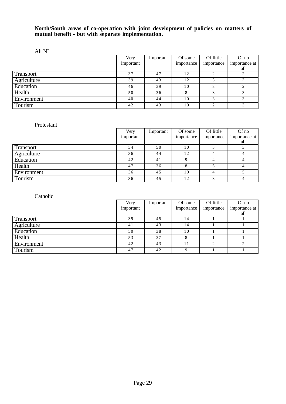### **North/South areas of co-operation with joint development of policies on matters of mutual benefit - but with separate implementation.**

All NI

|             | Very      | Important | Of some    | Of little  | Of no                |
|-------------|-----------|-----------|------------|------------|----------------------|
|             | important |           | importance | importance | importance at<br>all |
| Transport   | 37        | 47        | 12         |            |                      |
| Agriculture | 39        | 43        | 12         |            |                      |
| Education   | 46        | 39        | 10         |            |                      |
| Health      | 50        | 36        |            |            |                      |
| Environment | 40        | 44        | 10         |            |                      |
| Tourism     | 42        | 43        | 10         |            |                      |

### Protestant

|                  | Very      | Important | Of some    | Of little  | Of no         |
|------------------|-----------|-----------|------------|------------|---------------|
|                  | important |           | importance | importance | importance at |
|                  |           |           |            |            | all           |
| <b>Transport</b> | 34        | 50        | 10         |            |               |
| Agriculture      | 36        | 44        | 12         |            |               |
| Education        | 42        | 41        |            |            |               |
| Health           | 47        | 36        |            |            |               |
| Environment      | 36        | 45        | 10         |            |               |
| Tourism          | 36        | 45        | 12         |            |               |

|                  | Very      | Important | Of some    | Of little  | Of no         |
|------------------|-----------|-----------|------------|------------|---------------|
|                  | important |           | importance | importance | importance at |
|                  |           |           |            |            | all           |
| <b>Transport</b> | 39        | 45        | 14         |            |               |
| Agriculture      | 41        | 43        | 14         |            |               |
| Education        | 50        | 38        | 10         |            |               |
| Health           | 53        | 37        |            |            |               |
| Environment      | 42        | 43        |            | ◠          |               |
| Tourism          | 47        | 42        | $\Omega$   |            |               |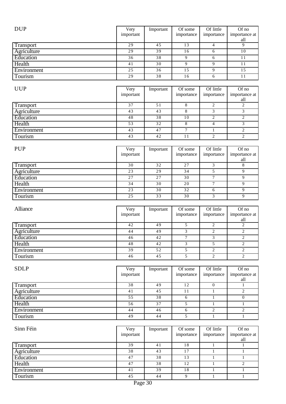| <b>DUP</b>             | Very            | Important       | Of some                  | Of little               | Of no                          |
|------------------------|-----------------|-----------------|--------------------------|-------------------------|--------------------------------|
|                        | important       |                 | importance               | importance              | importance at                  |
|                        |                 |                 |                          |                         | all                            |
| <b>Transport</b>       | $\overline{29}$ | 45              | $\overline{13}$          | $\overline{4}$          | $\overline{9}$                 |
| Agriculture            | $\overline{29}$ | 39              | 16                       | 6                       | $\overline{10}$                |
| Education              | $\overline{36}$ | 38              | 9                        | 6                       | 11                             |
| Health                 | 41              | 30              | $\overline{9}$           | $\overline{9}$          | $1\,1$                         |
| Environment            | 25              | $\overline{36}$ | 15                       | $\overline{9}$          | 15                             |
|                        | $\overline{29}$ | $\overline{38}$ |                          |                         | $\overline{11}$                |
| Tourism                |                 |                 | 16                       | 6                       |                                |
|                        |                 |                 |                          |                         |                                |
| <b>UUP</b>             | Very            | Important       | Of some                  | Of little               | Of no                          |
|                        | important       |                 | importance               | importance              | importance at                  |
|                        |                 |                 |                          |                         | all                            |
| Transport              | $\overline{37}$ | 51              | $\,8$                    | $\overline{2}$          | $\overline{2}$                 |
| <b>Agriculture</b>     | $\overline{43}$ | $\overline{43}$ | 8                        | $\overline{3}$          | $\overline{3}$                 |
| Education              | 48              | 38              | 10                       | $\overline{2}$          | $\overline{2}$                 |
| Health                 | $\overline{53}$ | 32              | 8                        | $\overline{4}$          | 3                              |
| Environment            | $\overline{43}$ | 47              | $\overline{7}$           | $\mathbf{1}$            | $\overline{2}$                 |
| Tourism                | 43              | 42              | 11                       | $\overline{2}$          | $\overline{2}$                 |
|                        |                 |                 |                          |                         |                                |
| <b>PUP</b>             | Very            | Important       | Of some                  | Of little               | Of no                          |
|                        | important       |                 | importance               | importance              | importance at                  |
|                        |                 |                 |                          |                         | all                            |
| Transport              | 30              | 32              | 27                       | 3                       | 8                              |
| Agriculture            | $\overline{23}$ | $\overline{29}$ | $\overline{34}$          | 5                       | 9                              |
|                        |                 |                 |                          | $\overline{7}$          |                                |
| Education              | $\overline{27}$ | $\overline{27}$ | $\overline{30}$          |                         | 9                              |
| Health                 | 34              | 30              | 20                       | $\overline{7}$          | 9                              |
| Environment            | $\overline{23}$ | 30              | $\overline{32}$          | 6                       | $\overline{9}$                 |
| Tourism                | 25              | 33              | $\overline{30}$          | $\overline{3}$          | $\overline{9}$                 |
|                        |                 |                 |                          |                         |                                |
|                        |                 |                 |                          |                         |                                |
|                        |                 |                 |                          |                         |                                |
| Alliance               | Very            | Important       | Of some                  | Of little               | Of no                          |
|                        | important       |                 | importance               | importance              | importance at                  |
|                        | 42              | 49              | 5                        | $\sqrt{2}$              | all<br>$\overline{c}$          |
| Transport              | 44              |                 | 3                        | $\overline{c}$          | $\overline{c}$                 |
| Agriculture            |                 | 49              |                          |                         | $\overline{2}$                 |
| Education              | 46              | 42              | $\overline{7}$           | 3                       |                                |
| Health                 | 48              | 42              | $\overline{3}$           | 5                       | $\overline{2}$                 |
| Environment            | $\overline{39}$ | $\overline{52}$ | 5                        | $\overline{2}$          | 2                              |
| Tourism                | 46              | 45              | $\overline{5}$           | $\overline{2}$          | $\overline{2}$                 |
|                        |                 |                 |                          |                         |                                |
| <b>SDLP</b>            | Very            | Important       | Of some                  | Of little               | $Of$ no                        |
|                        | important       |                 | importance               | importance              | importance at                  |
|                        |                 |                 |                          |                         | all                            |
| Transport              | $\overline{38}$ | 49              | $\overline{12}$          | $\overline{0}$          | $\mathbf{1}$                   |
| <b>Agriculture</b>     | 41              | 45              | $1\,1$                   | $\mathbf{1}$            | $\overline{2}$                 |
| Education              | 55              | 38              | 6                        | $\mathbf{1}$            | $\overline{0}$                 |
| Health                 | 56              | 37              | 5                        | $\mathbf{1}$            | $\mathbf{1}$                   |
|                        | 44              | 46              | $\overline{6}$           | $\overline{2}$          | $\overline{2}$                 |
| Environment            | 49              | 44              | 5                        | $\mathbf{1}$            | $\mathbf{1}$                   |
| <b>Tourism</b>         |                 |                 |                          |                         |                                |
|                        |                 |                 |                          |                         |                                |
| Sinn Féin              | Very            | Important       | Of some                  | Of little               | Of no                          |
|                        | important       |                 | importance               | importance              | importance at                  |
|                        |                 |                 |                          |                         | all                            |
| Transport              | 39              | $\overline{41}$ | 18                       | $\mathbf{1}$            | 1                              |
| Agriculture            | 38              | 43              | 17                       | $\mathbf{1}$            | $\mathbf{1}$                   |
| Education              | 47              | 38              | 13                       | $\mathbf{1}$            | $\mathbf{1}$                   |
| Health                 | 47              | 38              | 12                       | $\mathbf{1}$            | $\overline{2}$                 |
| Environment<br>Tourism | 41<br>45        | 39<br>44        | $1\,8$<br>$\overline{9}$ | $\,1$<br>$\overline{1}$ | $\mathbf{1}$<br>$\overline{1}$ |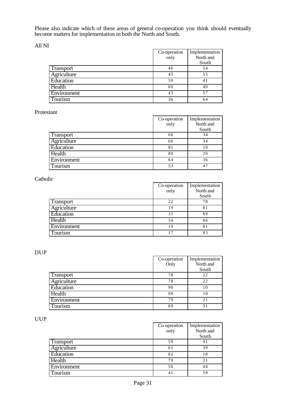Please also indicate which of these areas of general co-operation you think should eventually become matters for implementation in both the North and South.

All NI

|                  | Co-operation       | Implementation |
|------------------|--------------------|----------------|
|                  | $\overline{0}$ nly | North and      |
|                  |                    | South          |
| <b>Transport</b> | 46                 | 54             |
| Agriculture      | 45                 | 55             |
| Education        | 59                 | 41             |
| Health           | 60                 | 40             |
| Environment      | 43                 | 57             |
| Tourism          | 36                 | 64             |

#### Protestant

|             | Co-operation | Implementation |
|-------------|--------------|----------------|
|             | only         | North and      |
|             |              | South          |
| Transport   | 66           | 34             |
| Agriculture | 66           | 34             |
| Education   | 81           | 19             |
| Health      | 80           | 20             |
| Environment | 64           | 36             |
| Tourism     | 53           | 47             |

# Catholic

|                | Co-operation      | Implementation |
|----------------|-------------------|----------------|
|                | $\overline{only}$ | North and      |
|                |                   | South          |
| Transport      | 22                | 78             |
| Agriculture    | 19                | 81             |
| Education      | 31                | 69             |
| Health         | 34                | 66             |
| Environment    | 19                | 81             |
| <b>Tourism</b> | 17                | 83             |

### DUP

|             | Co-operation | Implementation |
|-------------|--------------|----------------|
|             | Only         | North and      |
|             |              | South          |
| Transport   | 78           | 22             |
| Agriculture | 78           | 22             |
| Education   | 90           | 10             |
| Health      | 90           | 10             |
| Environment | 79           | 21             |
| Tourism     | 69           | 31             |

UUP

|             | Co-operation<br>only | Implementation<br>North and |
|-------------|----------------------|-----------------------------|
|             |                      | South                       |
| Transport   | 59                   | 41                          |
| Agriculture | 61                   | 39                          |
| Education   | 82                   | 18                          |
| Health      | 79                   | 21                          |
| Environment | 56                   | 44                          |
| Tourism     | 41                   | 59                          |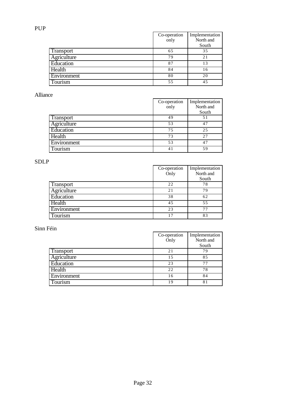|                  | Co-operation<br>only | Implementation<br>North and<br>South |
|------------------|----------------------|--------------------------------------|
| <b>Transport</b> | 65                   | 35                                   |
| Agriculture      | 79                   | 21                                   |
| Education        | 87                   | 13                                   |
| Health           | 84                   | 16                                   |
| Environment      | 80                   | 20                                   |
| Tourism          | 55                   | 45                                   |

## Alliance

|             | Co-operation<br>only | Implementation<br>North and<br>South |
|-------------|----------------------|--------------------------------------|
| Transport   | 49                   | 51                                   |
| Agriculture | 53                   | 47                                   |
| Education   | 75                   | 25                                   |
| Health      | 73                   | 2.7                                  |
| Environment | 53                   | 47                                   |
| Tourism     | 41                   | 59                                   |

# SDLP

|             | Co-operation<br>Only | Implementation<br>North and |
|-------------|----------------------|-----------------------------|
|             |                      | South                       |
| Transport   | 22                   | 78                          |
| Agriculture | 21                   | 79                          |
| Education   | 38                   | 62                          |
| $He$ alth   | 45                   | 55                          |
| Environment | 23                   | 77                          |
| Tourism     | 17                   | 83                          |

|             | Co-operation | Implementation |
|-------------|--------------|----------------|
|             | Only         | North and      |
|             |              | South          |
| Transport   | 21           | 79             |
| Agriculture | 15           | 85             |
| Education   | 23           | 77             |
| Health      | 22           | 78             |
| Environment | 16           | 84             |
| Tourism     | 19           | 81             |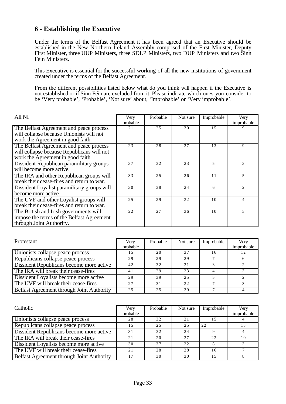## **6 - Establishing the Executive**

Under the terms of the Belfast Agreement it has been agreed that an Executive should be established in the New Northern Ireland Assembly comprised of the First Minister, Deputy First Minister, three UUP Ministers, three SDLP Ministers, two DUP Ministers and two Sinn Féin Ministers.

This Executive is essential for the successful working of all the new institutions of government created under the terms of the Belfast Agreement.

From the different possibilities listed below what do you think will happen if the Executive is not established or if Sinn Féin are excluded from it. Please indicate which ones you consider to be 'Very probable', 'Probable', 'Not sure' about, 'Improbable' or 'Very improbable'.

| All NI                                      | Very<br>probable | Probable | Not sure | Improbable | Very<br>improbable          |
|---------------------------------------------|------------------|----------|----------|------------|-----------------------------|
| The Belfast Agreement and peace process     | 21               | 25       | 30       | 15         |                             |
| will collapse because Unionists will not    |                  |          |          |            |                             |
| work the Agreement in good faith.           |                  |          |          |            |                             |
| The Belfast Agreement and peace process     | 23               | 28       | 27       | 13         | 9                           |
| will collapse because Republicans will not  |                  |          |          |            |                             |
| work the Agreement in good faith.           |                  |          |          |            |                             |
| Dissident Republican paramilitary groups    | 37               | 32       | 23       | 5          | 3                           |
| will become more active.                    |                  |          |          |            |                             |
| The IRA and other Republican groups will    | 33               | 25       | 26       | 11         | 5                           |
| break their cease-fires and return to war.  |                  |          |          |            |                             |
| Dissident Loyalist paramilitary groups will | 30               | 38       | 24       | 6          | $\mathcal{D}_{\mathcal{A}}$ |
| become more active.                         |                  |          |          |            |                             |
| The UVF and other Loyalist groups will      | 25               | 29       | 32       | 10         | 4                           |
| break their cease-fires and return to war.  |                  |          |          |            |                             |
| The British and Irish governments will      | 22               | 27       | 36       | 10         | 5                           |
| impose the terms of the Belfast Agreement   |                  |          |          |            |                             |
| through Joint Authority.                    |                  |          |          |            |                             |

| Protestant                                | Very     | Probable | Not sure | Improbable | Very       |
|-------------------------------------------|----------|----------|----------|------------|------------|
|                                           | probable |          |          |            | improbable |
| Unionists collapse peace process          | -5       | 20       | 37       | 16         |            |
| Republicans collapse peace process        | 29       | 29       | 29       |            |            |
| Dissident Republicans become more active  | 42       | 32       | 2.1      |            |            |
| The IRA will break their cease-fires      | 41       | 29       | 23       |            |            |
| Dissident Loyalists become more active    | 29       | 39       | 25       |            |            |
| The UVF will break their cease-fires      | 27       | 31       | 32       |            |            |
| Belfast Agreement through Joint Authority | 2.5      | 2.5      | 39       |            |            |

| Catholic                                  | Very<br>probable | Probable | Not sure | Improbable | Very<br>improbable |
|-------------------------------------------|------------------|----------|----------|------------|--------------------|
|                                           |                  |          |          |            |                    |
| Unionists collapse peace process          | 28               | 32       | 2.1      |            |                    |
| Republicans collapse peace process        | 15               | 2.5      | 25       | 22         | 13                 |
| Dissident Republicans become more active  | 31               | 32       | 24       |            |                    |
| The IRA will break their cease-fires      | 2.1              | 20       | 2.7      | 22         | 10                 |
| Dissident Loyalists become more active    | 30               | 37       | 22.      |            |                    |
| The UVF will break their cease-fires      | 2.1              | 28       | 28       | 16         |                    |
| Belfast Agreement through Joint Authority | 17               | 30       | 30       | 15         |                    |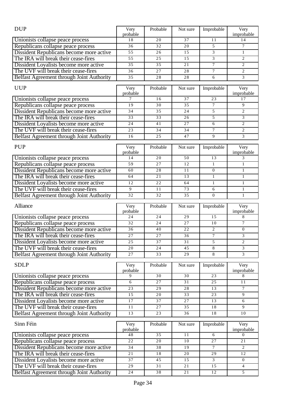| <b>DUP</b>                                                                     | Very             | Probable        | Not sure        | Improbable              | Very                   |
|--------------------------------------------------------------------------------|------------------|-----------------|-----------------|-------------------------|------------------------|
|                                                                                | probable         |                 |                 |                         | improbable             |
| Unionists collapse peace process                                               | 18               | 20              | 37              | 11                      | 14                     |
| Republicans collapse peace process                                             | 36               | 32              | 20              | 5                       | $\overline{7}$         |
| Dissident Republicans become more active                                       | 55               | 26              | 15              | $\overline{\mathbf{3}}$ | $\mathbf{1}$           |
| The IRA will break their cease-fires                                           | 55               | 25              | 15              | $\overline{\mathbf{3}}$ | $\overline{2}$         |
| Dissident Loyalists become more active                                         | 35               | 35              | 21              | 7                       | $\overline{c}$         |
| The UVF will break their cease-fires                                           | 36               | 27              | 28              | $\tau$                  | $\mathfrak{2}$         |
| Belfast Agreement through Joint Authority                                      | 35               | 28              | 28              | 6                       | 3                      |
| <b>UUP</b>                                                                     | Very             | Probable        | Not sure        | Improbable              | Very                   |
|                                                                                | probable         |                 |                 |                         | improbable             |
| Unionists collapse peace process                                               | 7                | 16              | 37              | 23                      | 17                     |
| Republicans collapse peace process                                             | 19               | 30              | 35              | $\overline{7}$          | 9                      |
| Dissident Republicans become more active                                       | 34               | 35              | 24              | 5                       | $\mathfrak{2}$         |
| The IRA will break their cease-fires                                           | 33               | 33              | 26              | 5                       | 3                      |
| Dissident Loyalists become more active                                         | $\overline{24}$  | 41              | 27              | 6                       | $\overline{2}$         |
| The UVF will break their cease-fires                                           | 23               | 34              | 34              | 7                       | $\overline{c}$         |
| Belfast Agreement through Joint Authority                                      | 16               | 25              | 47              | 9                       | 3                      |
|                                                                                |                  |                 |                 |                         |                        |
| <b>PUP</b>                                                                     | Very             | Probable        | Not sure        | Improbable              | Very                   |
| Unionists collapse peace process                                               | probable<br>14   | 20              | 50              | 13                      | improbable<br>3        |
| Republicans collapse peace process                                             | 59               | 27              | 12              | $\mathbf{1}$            | $\mathbf{1}$           |
| Dissident Republicans become more active                                       | 60               | 28              | 11              | $\overline{0}$          | $\mathbf{1}$           |
| The IRA will break their cease-fires                                           | 64               | 21              | 13              | $\mathbf{1}$            | $\mathbf{1}$           |
| Dissident Loyalists become more active                                         | 12               | 22              | 64              | $\mathbf{1}$            | $\mathbf{1}$           |
| The UVF will break their cease-fires                                           | 9                | 11              | 73              | 6                       | $\mathbf{1}$           |
| Belfast Agreement through Joint Authority                                      | 32               | 32              | 35              | $\overline{0}$          | $\mathbf{1}$           |
|                                                                                |                  |                 |                 |                         |                        |
|                                                                                |                  |                 |                 |                         |                        |
| Alliance                                                                       | Very             | Probable        | Not sure        | Improbable              | Very                   |
|                                                                                | probable         |                 |                 |                         | improbable             |
| Unionists collapse peace process                                               | 24               | 24              | 29              | 15                      | 8                      |
| Republicans collapse peace process                                             | 32               | 24              | 27              | 10                      | 7                      |
| Dissident Republicans become more active                                       | 36               | 40              | 22              | $\overline{c}$          | $\boldsymbol{0}$       |
| The IRA will break their cease-fires                                           | $\overline{27}$  | 27              | $\overline{36}$ | $\overline{7}$          | 3                      |
| Dissident Loyalists become more active                                         | 25               | $\overline{37}$ | $\overline{31}$ | 5                       | $\overline{c}$         |
| The UVF will break their cease-fires                                           | 20               | 24              | 45              | 8                       | 3                      |
| Belfast Agreement through Joint Authority                                      | 27               | 33              | 29              | 8                       | 3                      |
| <b>SDLP</b>                                                                    |                  |                 |                 |                         |                        |
|                                                                                | Very<br>probable | Probable        | Not sure        | Improbable              | Very<br>improbable     |
| Unionists collapse peace process                                               | 9                | 30              | 30              | $\overline{23}$         | 8                      |
| Republicans collapse peace process                                             | 6                | 27              | 31              | 25                      | 11                     |
| Dissident Republicans become more active                                       | $\overline{23}$  | 29              | $\overline{28}$ | $\overline{13}$         | $\overline{7}$         |
| The IRA will break their cease-fires                                           | $\overline{15}$  | 20              | $\overline{33}$ | 23                      | 9                      |
| Dissident Loyalists become more active                                         | 17               | 37              | 27              | 13                      | 6                      |
| The UVF will break their cease-fires                                           | 11               | 27              | 35              | 18                      | 9                      |
| Belfast Agreement through Joint Authority                                      | $\overline{13}$  | 23              | 36              | $\overline{18}$         | 10                     |
|                                                                                |                  |                 |                 |                         |                        |
| Sinn Féin                                                                      | Very             | Probable        | Not sure        | Improbable              | Very                   |
|                                                                                | probable<br>48   | $\overline{35}$ | 11              | 6                       | improbable<br>$\Omega$ |
| Unionists collapse peace process                                               | 22               | 20              | $10$            | 27                      | 21                     |
| Republicans collapse peace process                                             | 34               | 38              | 19              | $\tau$                  | 2                      |
| Dissident Republicans become more active                                       | 21               | 18              | 20              | 29                      | 12                     |
| The IRA will break their cease-fires                                           | 37               | 45              | 15              | 3                       | $\overline{0}$         |
| Dissident Loyalists become more active<br>The UVF will break their cease-fires | 29               | 31              | 21              | $\overline{15}$         | 4                      |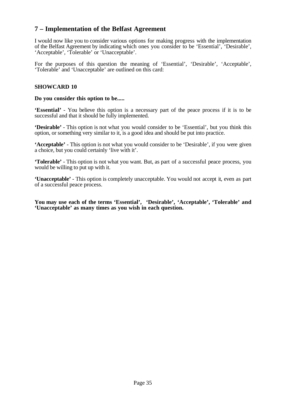# **7 – Implementation of the Belfast Agreement**

I would now like you to consider various options for making progress with the implementation of the Belfast Agreement by indicating which ones you consider to be 'Essential', 'Desirable', 'Acceptable', 'Tolerable' or 'Unacceptable'.

For the purposes of this question the meaning of 'Essential', 'Desirable', 'Acceptable', 'Tolerable' and 'Unacceptable' are outlined on this card:

### **SHOWCARD 10**

#### **Do you consider this option to be.....**

**'Essential'** - You believe this option is a necessary part of the peace process if it is to be successful and that it should be fully implemented.

**'Desirable'** - This option is not what you would consider to be 'Essential', but you think this option, or something very similar to it, is a good idea and should be put into practice.

**'Acceptable'** - This option is not what you would consider to be 'Desirable', if you were given a choice, but you could certainly 'live with it'.

**'Tolerable'** - This option is not what you want. But, as part of a successful peace process, you would be willing to put up with it.

**'Unacceptable'** - This option is completely unacceptable. You would not accept it, even as part of a successful peace process.

**You may use each of the terms 'Essential', 'Desirable', 'Acceptable', 'Tolerable' and 'Unacceptable' as many times as you wish in each question.**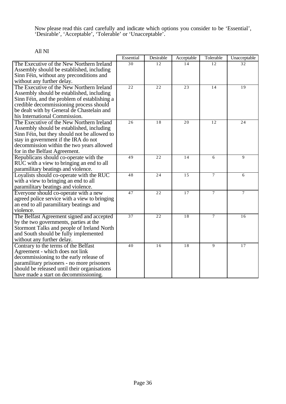Now please read this card carefully and indicate which options you consider to be 'Essential', 'Desirable', 'Acceptable', 'Tolerable' or 'Unacceptable'.

## All NI

|                                                                         | Essential | Desirable | Acceptable | Tolerable      | Unacceptable    |
|-------------------------------------------------------------------------|-----------|-----------|------------|----------------|-----------------|
| The Executive of the New Northern Ireland                               | 30        | 12.       | 14         | 12             | 32              |
| Assembly should be established, including                               |           |           |            |                |                 |
| Sinn Féin, without any preconditions and                                |           |           |            |                |                 |
| without any further delay.                                              |           |           |            |                |                 |
| The Executive of the New Northern Ireland                               | 22        | 22        | 23         | 14             | $\overline{19}$ |
| Assembly should be established, including                               |           |           |            |                |                 |
| Sinn Féin, and the problem of establishing a                            |           |           |            |                |                 |
| credible decommissioning process should                                 |           |           |            |                |                 |
| be dealt with by General de Chastelain and                              |           |           |            |                |                 |
| his International Commission.                                           |           |           |            |                |                 |
| The Executive of the New Northern Ireland                               | 26        | 18        | 20         | 12             | 24              |
| Assembly should be established, including                               |           |           |            |                |                 |
| Sinn Féin, but they should not be allowed to                            |           |           |            |                |                 |
| stay in government if the IRA do not                                    |           |           |            |                |                 |
| decommission within the two years allowed                               |           |           |            |                |                 |
| for in the Belfast Agreement.<br>Republicans should co-operate with the | 49        | 22        | 14         | 6              | 9               |
| RUC with a view to bringing an end to all                               |           |           |            |                |                 |
| paramilitary beatings and violence.                                     |           |           |            |                |                 |
| Loyalists should co-operate with the RUC                                | 48        | 24        | 15         | $\tau$         | 6               |
| with a view to bringing an end to all                                   |           |           |            |                |                 |
| paramilitary beatings and violence.                                     |           |           |            |                |                 |
| Everyone should co-operate with a new                                   | 47        | 22        | 17         | $\overline{7}$ | $\overline{7}$  |
| agreed police service with a view to bringing                           |           |           |            |                |                 |
| an end to all paramilitary beatings and                                 |           |           |            |                |                 |
| violence.                                                               |           |           |            |                |                 |
| The Belfast Agreement signed and accepted                               | 37        | 22        | 18         | $\overline{7}$ | 16              |
| by the two governments, parties at the                                  |           |           |            |                |                 |
| Stormont Talks and people of Ireland North                              |           |           |            |                |                 |
| and South should be fully implemented                                   |           |           |            |                |                 |
| without any further delay.                                              |           |           |            |                |                 |
| Contrary to the terms of the Belfast                                    | 40        | 16        | 18         | 9              | 17              |
| Agreement - which does not link                                         |           |           |            |                |                 |
| decommissioning to the early release of                                 |           |           |            |                |                 |
| paramilitary prisoners - no more prisoners                              |           |           |            |                |                 |
| should be released until their organisations                            |           |           |            |                |                 |
| have made a start on decommissioning.                                   |           |           |            |                |                 |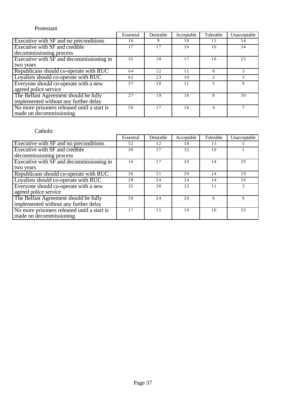### Protestant

|                                             | Essential | Desirable | Acceptable | Tolerable                     | Unacceptable |
|---------------------------------------------|-----------|-----------|------------|-------------------------------|--------------|
| Executive with SF and no preconditions      | 16        | 9         | 10         | 11                            | 54           |
| Executive with SF and credible              | 17        | 17        | 16         | 16                            | 34           |
| decommissioning process                     |           |           |            |                               |              |
| Executive with SF and decommissioning in    | 32        | 18        | 17         | 10                            | 23           |
| two years                                   |           |           |            |                               |              |
| Republicans should co-operate with RUC      | 64        | 22        | 11         |                               | 3            |
| Loyalists should co-operate with RUC        | 62        | 23        | 10         | $\mathfrak{D}_{\mathfrak{p}}$ | 3            |
| Everyone should co-operate with a new       | 57        | 18        | 11         |                               | 9            |
| agreed police service                       |           |           |            |                               |              |
| The Belfast Agreement should be fully       | 2.7       | 19        | 16         | 8                             | 30           |
| implemented without any further delay       |           |           |            |                               |              |
| No more prisoners released until a start is | 56        | 17        | 16         |                               |              |
| made on decommissioning                     |           |           |            |                               |              |

|                                             | Essential | Desirable | Acceptable | Tolerable | Unacceptable |
|---------------------------------------------|-----------|-----------|------------|-----------|--------------|
| Executive with SF and no preconditions      | 52        | 12        | 18         | 13        |              |
| Executive with SF and credible              | 30        | 2.7       | 32         | 10        |              |
| decommissioning process                     |           |           |            |           |              |
| Executive with SF and decommissioning in    | 16        | 17        | 24         | 14        | 29           |
| two years                                   |           |           |            |           |              |
| Republicans should co-operate with RUC      | 26        | 21        | 20         | 14        | 19           |
| Loyalists should co-operate with RUC        | 28        | 24        | 24         | 14        | 10           |
| Everyone should co-operate with a new       | 35        | 28        | 23         |           | 3            |
| agreed police service                       |           |           |            |           |              |
| The Belfast Agreement should be fully       | 50        | 24        | 20         | 6         |              |
| implemented without any further delay       |           |           |            |           |              |
| No more prisoners released until a start is | 17        | 1.5       | 19         | 16        | 33           |
| made on decommissioning                     |           |           |            |           |              |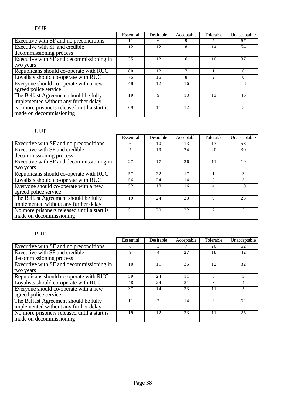|                                             | Essential | Desirable | Acceptable | Tolerable | Unacceptable |
|---------------------------------------------|-----------|-----------|------------|-----------|--------------|
| Executive with SF and no preconditions      | 11        | 6         |            |           | 67           |
| Executive with SF and credible              | 12        | 12        | 8          | 14        | 54           |
| decommissioning process                     |           |           |            |           |              |
| Executive with SF and decommissioning in    | 35        | 12        | 6          | 10        | 37           |
| two years                                   |           |           |            |           |              |
| Republicans should co-operate with RUC      | 80        | 12        |            |           | $\Omega$     |
| Loyalists should co-operate with RUC        | 75        | 1.5       | 8          | C         | $\Omega$     |
| Everyone should co-operate with a new       | 48        | 12        | 16         | 6         | 18           |
| agreed police service                       |           |           |            |           |              |
| The Belfast Agreement should be fully       | 19        | 9         | 13         | 13        | 46           |
| implemented without any further delay       |           |           |            |           |              |
| No more prisoners released until a start is | 69        | 11        | 12.        |           | 3            |
| made on decommissioning                     |           |           |            |           |              |

# UUP

|                                             | Essential | Desirable | Acceptable | Tolerable | Unacceptable |
|---------------------------------------------|-----------|-----------|------------|-----------|--------------|
| Executive with SF and no preconditions      | 6         | 10        | 13         | 13        | 58           |
| Executive with SF and credible              |           | 19        | 24         | 20        | 30           |
| decommissioning process                     |           |           |            |           |              |
| Executive with SF and decommissioning in    | 2.7       | 17        | 26         | 11        | 19           |
| two years                                   |           |           |            |           |              |
| Republicans should co-operate with RUC      | 57        | 22        | 17         |           | 3            |
| Loyalists should co-operate with RUC        | 56        | 24        | 14         | 3         | 3            |
| Everyone should co-operate with a new       | 52        | 18        | 16         | 4         | 10           |
| agreed police service                       |           |           |            |           |              |
| The Belfast Agreement should be fully       | 19        | 24        | 23         | 9         | 2.5          |
| implemented without any further delay       |           |           |            |           |              |
| No more prisoners released until a start is | 51        | 20        | 22         |           |              |
| made on decommissioning                     |           |           |            |           |              |

## PUP

|                                                                                | Essential | Desirable | Acceptable | Tolerable | Unacceptable |
|--------------------------------------------------------------------------------|-----------|-----------|------------|-----------|--------------|
| Executive with SF and no preconditions                                         | 8         | 3         |            | 20        | 62           |
| Executive with SF and credible                                                 | 9         |           | 27         | 18        | 42           |
| decommissioning process                                                        |           |           |            |           |              |
| Executive with SF and decommissioning in                                       | 10        | 11        | 3.5        | 12        | 32           |
| two years                                                                      |           |           |            |           |              |
| Republicans should co-operate with RUC                                         | 59        | 24        | 11         | 3         | 3            |
| Loyalists should co-operate with RUC                                           | 48        | 24        | 21         |           |              |
| Everyone should co-operate with a new<br>agreed police service                 | 37        | 14        | 33         | 11        | 5            |
| The Belfast Agreement should be fully<br>implemented without any further delay | 11        |           | 14         | 6         | 62           |
| No more prisoners released until a start is<br>made on decommissioning         | 19        | 12.       | 33         | 11        | 2.5          |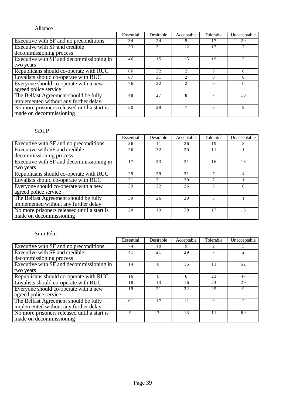| Alliance                                    |           |           |                               |           |              |
|---------------------------------------------|-----------|-----------|-------------------------------|-----------|--------------|
|                                             | Essential | Desirable | Acceptable                    | Tolerable | Unacceptable |
| Executive with SF and no preconditions      | 34        | 24        |                               | 17        | 20           |
| Executive with SF and credible              | 33        | 31        | 12                            | 17        |              |
| decommissioning process                     |           |           |                               |           |              |
| Executive with SF and decommissioning in    | 46        | 1.5       | 15                            | 19        |              |
| two years                                   |           |           |                               |           |              |
| Republicans should co-operate with RUC      | 66        | 32        | $\mathfrak{D}_{\mathfrak{p}}$ | $\Omega$  | $\Omega$     |
| Loyalists should co-operate with RUC        | 67        | 31        | $\mathfrak{D}_{\mathfrak{p}}$ | $\Omega$  | $\Omega$     |
| Everyone should co-operate with a new       | 76        | 22        | $\mathfrak{D}$                |           | $\Omega$     |
| agreed police service                       |           |           |                               |           |              |
| The Belfast Agreement should be fully       | 48        | 2.7       | 8                             |           | 10           |
| implemented without any further delay       |           |           |                               |           |              |
| No more prisoners released until a start is | 50        | 29        | 7                             | 5         | 9            |
| made on decommissioning                     |           |           |                               |           |              |

## SDLP

|                                             | Essential | Desirable | Acceptable | Tolerable | Unacceptable |
|---------------------------------------------|-----------|-----------|------------|-----------|--------------|
| Executive with SF and no preconditions      | 36        | 11        | 26         | 19        | 8            |
| Executive with SF and credible              | 26        | 32        | 30         | 11        |              |
| decommissioning process                     |           |           |            |           |              |
| Executive with SF and decommissioning in    | 17        | 23        | 31         | 16        | 13           |
| two years                                   |           |           |            |           |              |
| Republicans should co-operate with RUC      | 29        | 29        | 31         |           |              |
| Loyalists should co-operate with RUC        | 31        | 31        | 30         |           |              |
| Everyone should co-operate with a new       | 39        | 32        | 26         |           | $\Omega$     |
| agreed police service                       |           |           |            |           |              |
| The Belfast Agreement should be fully       | 39        | 26        | 29         |           |              |
| implemented without any further delay       |           |           |            |           |              |
| No more prisoners released until a start is | 20        | 19        | 28         | 17        | 16           |
| made on decommissioning                     |           |           |            |           |              |

|                                                                                | Essential | Desirable | Acceptable | Tolerable | Unacceptable                |
|--------------------------------------------------------------------------------|-----------|-----------|------------|-----------|-----------------------------|
| Executive with SF and no preconditions                                         | 74        | 10        | 9          |           |                             |
| Executive with SF and credible                                                 | 41        | 21        | 29         |           |                             |
| decommissioning process                                                        |           |           |            |           |                             |
| Executive with SF and decommissioning in                                       | 14        | 8         | 1.5        | 11        | 52                          |
| two years                                                                      |           |           |            |           |                             |
| Republicans should co-operate with RUC                                         | 16        | 8         | 6          | 23        | 47                          |
| Loyalists should co-operate with RUC                                           | 18        | 13        | 16         | 24        | 29                          |
| Everyone should co-operate with a new<br>agreed police service                 | 19        | 2.1       | 22         | 29        | 9                           |
|                                                                                |           |           |            |           |                             |
| The Belfast Agreement should be fully<br>implemented without any further delay | 61        | 17        | 11         | 9         | $\mathcal{D}_{\mathcal{A}}$ |
| No more prisoners released until a start is<br>made on decommissioning         | 9         |           | 13         | 11        | 60                          |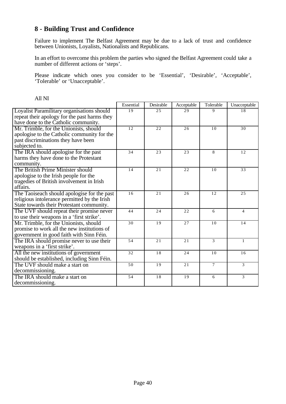# **8 - Building Trust and Confidence**

Failure to implement The Belfast Agreement may be due to a lack of trust and confidence between Unionists, Loyalists, Nationalists and Republicans.

In an effort to overcome this problem the parties who signed the Belfast Agreement could take a number of different actions or 'steps'.

Please indicate which ones you consider to be 'Essential', 'Desirable', 'Acceptable', 'Tolerable' or 'Unacceptable'.

|                                              | Essential | Desirable | Acceptable | Tolerable      | Unacceptable   |
|----------------------------------------------|-----------|-----------|------------|----------------|----------------|
| Loyalist Paramilitary organisations should   | 19        | 25        | 29         | 9              | 18             |
| repeat their apology for the past harms they |           |           |            |                |                |
| have done to the Catholic community.         |           |           |            |                |                |
| Mr. Trimble, for the Unionists, should       | 12        | 22        | 26         | 10             | 30             |
| apologise to the Catholic community for the  |           |           |            |                |                |
| past discriminations they have been          |           |           |            |                |                |
| subjected to.                                |           |           |            |                |                |
| The IRA should apologise for the past        | 34        | 23        | 23         | 8              | 12             |
| harms they have done to the Protestant       |           |           |            |                |                |
| community.                                   |           |           |            |                |                |
| The British Prime Minister should            | 14        | 21        | 22         | 1 <sub>0</sub> | 33             |
| apologise to the Irish people for the        |           |           |            |                |                |
| tragedies of British involvement in Irish    |           |           |            |                |                |
| affairs.                                     |           |           |            |                |                |
| The Taoiseach should apologise for the past  | 16        | 21        | 26         | 12             | 25             |
| religious intolerance permitted by the Irish |           |           |            |                |                |
| State towards their Protestant community.    |           |           |            |                |                |
| The UVF should repeat their promise never    | 44        | 24        | 22         | 6              | $\overline{4}$ |
| to use their weapons in a 'first strike'.    |           |           |            |                |                |
| Mr. Trimble, for the Unionists, should       | 30        | 19        | 27         | 10             | 14             |
| promise to work all the new institutions of  |           |           |            |                |                |
| government in good faith with Sinn Féin.     |           |           |            |                |                |
| The IRA should promise never to use their    | 54        | 21        | 21         | 3              | $\mathbf{1}$   |
| weapons in a 'first strike'.                 |           |           |            |                |                |
| All the new institutions of government       | 32        | 18        | 24         | 10             | 16             |
| should be established, including Sinn Féin.  |           |           |            |                |                |
| The UVF should make a start on               | 50        | 19        | 21         | $\tau$         | 3              |
| decommissioning.                             |           |           |            |                |                |
| The IRA should make a start on               | 54        | 18        | 19         | 6              | 3              |
| decommissioning.                             |           |           |            |                |                |

All NI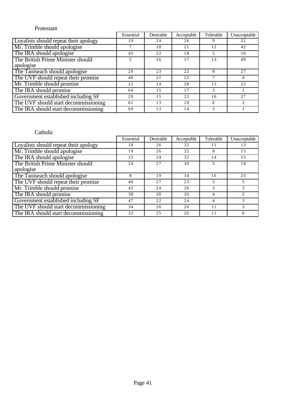### Protestant

|                                       | Essential | Desirable | Acceptable | Tolerable | Unacceptable   |
|---------------------------------------|-----------|-----------|------------|-----------|----------------|
| Loyalists should repeat their apology | 19        | 24        | 26         |           | 22             |
| Mr. Trimble should apologise          |           | 18        | 21         | 12        | 42             |
| The IRA should apologise              | 45        | 22        | 18         |           | 10             |
| The British Prime Minister should     |           | 16        | 17         | 13        | 49             |
| apologise                             |           |           |            |           |                |
| The Taoiseach should apologise        | 20        | 23        | 22         | 8         | 27             |
| The UVF should repeat their promise   | 46        | 21        | 22         |           | 4              |
| Mr. Trimble should promise            | 21        | 14        | 28         | 1.5       | 22             |
| The IRA should promise                | 64        | 1.5       | 17         |           |                |
| Government established including SF   | 20        | 1.5       | 22         | 16        | 27             |
| The UVF should start decommissioning  | 61        | 13        | 18         | 6         | $\mathfrak{D}$ |
| The IRA should start decommissioning  | 69        | 13        | 14         |           |                |

|                                       | Essential | Desirable | Acceptable | Tolerable | Unacceptable   |
|---------------------------------------|-----------|-----------|------------|-----------|----------------|
| Loyalists should repeat their apology | 18        | 26        | 32         |           | 13             |
| Mr. Trimble should apologise          | 19        | 26        | 32         | 8         | 15             |
| The IRA should apologise              | 15        | 24        | 32         | 14        | 15             |
| The British Prime Minister should     | 24        | 27        | 30         |           | 14             |
| apologise                             |           |           |            |           |                |
| The Taoiseach should apologise        | 8         | 19        | 34         | 16        | 23             |
| The UVF should repeat their promise   | 40        | 27        | 23         |           |                |
| Mr. Trimble should promise            | 42        | 24        | 26         | 3         |                |
| The IRA should promise                | 38        | 30        | 26         |           | $\mathfrak{D}$ |
| Government established including SF   | 47        | 22        | 24         |           | 3              |
| The UVF should start decommissioning  | 34        | 26        | 26         | 11        | 3              |
| The IRA should start decommissioning  | 32        | 25        | 26         |           | 6              |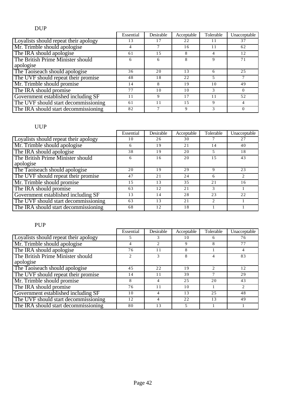# DUP

|                                       | Essential | Desirable | Acceptable | Tolerable | Unacceptable |
|---------------------------------------|-----------|-----------|------------|-----------|--------------|
| Loyalists should repeat their apology | 13        | 17        | 22         |           | 37           |
| Mr. Trimble should apologise          |           |           | 16         |           | 62           |
| The IRA should apologise              | 61        | 1.5       | 8          |           | 12           |
| The British Prime Minister should     | 6         | 6         | 8          | 9         | 71           |
| apologise                             |           |           |            |           |              |
| The Taoiseach should apologise        | 36        | 20        | 13         | 6         | 25           |
| The UVF should repeat their promise   | 48        | 18        | 22         |           |              |
| Mr. Trimble should promise            | 14        | 8         | 19         | 10        | 49           |
| The IRA should promise                | 77        | 10        | 10         |           | $\Omega$     |
| Government established including SF   | 11        | 9         | 17         | 11        | 52           |
| The UVF should start decommissioning  | 61        | 11        | 1.5        | 9         | 4            |
| The IRA should start decommissioning  | 82        |           |            |           | $\Omega$     |

# UUP

|                                       | Essential | Desirable | Acceptable | Tolerable      | Unacceptable  |
|---------------------------------------|-----------|-----------|------------|----------------|---------------|
| Loyalists should repeat their apology | 10        | 26        | 30         |                | 27            |
| Mr. Trimble should apologise          | 6         | 19        | 21         | 14             | 40            |
| The IRA should apologise              | 38        | 19        | 20         |                | 18            |
| The British Prime Minister should     | 6         | 16        | 20         | 1.5            | 43            |
| apologise                             |           |           |            |                |               |
| The Taoiseach should apologise        | 20        | 19        | 29         | Q              | 23            |
| The UVF should repeat their promise   | 47        | 21        | 24         | 6              | $\mathcal{L}$ |
| Mr. Trimble should promise            | 15        | 13        | 35         | 21             | 16            |
| The IRA should promise                | 63        | 12        | 21         | 3              |               |
| Government established including SF   | 13        | 14        | 28         | 23             | 22            |
| The UVF should start decommissioning  | 63        | 13        | 21         | $\mathfrak{D}$ |               |
| The IRA should start decommissioning  | 68        | 12        | 18         |                |               |

# PUP

|                                       | Essential | Desirable | Acceptable | Tolerable | Unacceptable |
|---------------------------------------|-----------|-----------|------------|-----------|--------------|
| Loyalists should repeat their apology | 5.        | 3         | 10         | h         | 76           |
| Mr. Trimble should apologise          | 4         | 2         | 9          | 8         | 77           |
| The IRA should apologise              | 76        | 11        | 8          |           | 4            |
| The British Prime Minister should     |           | 3         | 8          |           | 83           |
| apologise                             |           |           |            |           |              |
| The Taoiseach should apologise        | 45        | 22        | 19         |           | 12           |
| The UVF should repeat their promise   | 14        | 11        | 39         |           | 29           |
| Mr. Trimble should promise            | 8         | 4         | 2.5        | 20        | 43           |
| The IRA should promise                | 76        | 11        | 10         |           |              |
| Government established including SF   | 10        | 4         | 13         | 25        | 48           |
| The UVF should start decommissioning  | 12        | 4         | 22         | 13        | 49           |
| The IRA should start decommissioning  | 80        | 13        | 5          |           |              |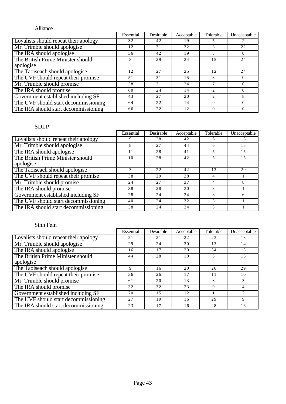# Alliance

|                                       | Essential | Desirable | Acceptable | Tolerable | Unacceptable |
|---------------------------------------|-----------|-----------|------------|-----------|--------------|
| Loyalists should repeat their apology | 32        | 42        | 19         |           |              |
| Mr. Trimble should apologise          | 12        | 31        | 32         |           | 22           |
| The IRA should apologise              | 36        | 42        | 19         |           | $\Omega$     |
| The British Prime Minister should     | 8         | 29        | 24         | 1.5       | 24           |
| apologise                             |           |           |            |           |              |
| The Taoiseach should apologise        | 12        | 27        | 25         | 12        | 24           |
| The UVF should repeat their promise   | 51        | 31        | 15         | 3         | $\Omega$     |
| Mr. Trimble should promise            | 38        | 31        | 24         |           | $\Omega$     |
| The IRA should promise                | 60        | 24        | 14         |           | $\Omega$     |
| Government established including SF   | 43        | 27        | 20         |           | 8            |
| The UVF should start decommissioning  | 64        | 22        | 14         | $\Omega$  | $\Omega$     |
| The IRA should start decommissioning  | 66        | 2.2       | 12.        |           | $\Omega$     |

# SDLP

|                                       | Essential | Desirable | Acceptable | Tolerable | Unacceptable |
|---------------------------------------|-----------|-----------|------------|-----------|--------------|
| Loyalists should repeat their apology |           | 28        | 42         |           | 15           |
| Mr. Trimble should apologise          |           | 27        | 44         | 6         | 15           |
| The IRA should apologise              | 28<br>11  |           | 41         |           | 15           |
| The British Prime Minister should     | 10        | 28        | 42         |           | 15           |
| apologise                             |           |           |            |           |              |
| The Taoiseach should apologise        |           | 22        | 42         | 13        | 20           |
| The UVF should repeat their promise   | 38        | 29        | 28         |           |              |
| Mr. Trimble should promise            | 24        | 27        | 37         |           |              |
| The IRA should promise                | 38        | 28        | 30         |           |              |
| Government established including SF   | 28        | 24        | 34         | 8         | 6            |
| The UVF should start decommissioning  | 40        | 24        | 32         | 3         |              |
| The IRA should start decommissioning  | 38        | 24        | 34         |           |              |

|                                       | Essential | Desirable | Acceptable | Tolerable | Unacceptable |
|---------------------------------------|-----------|-----------|------------|-----------|--------------|
| Loyalists should repeat their apology | 21        | 21        | 22         | 23        | 13           |
| Mr. Trimble should apologise          | 29        | 24        | 20         | 13        | 14           |
| The IRA should apologise              | 16        | 17        | 20         | 34        | 13           |
| The British Prime Minister should     | 44        | 28        | 10         |           | 15           |
| apologise                             |           |           |            |           |              |
| The Taoiseach should apologise        | 9         | 16        | 20         | 26        | 29           |
| The UVF should repeat their promise   | 36        | 26        | 17         | 11        | 10           |
| Mr. Trimble should promise            | 61        | 20        | 13         | 3         | 3            |
| The IRA should promise                | 32        | 32        | 23         | 9         | 4            |
| Government established including SF   | 70        | 1.5       | 12         |           |              |
| The UVF should start decommissioning  | 27        | 19        | 16         | 29        | 9            |
| The IRA should start decommissioning  | 23        | 17        | 16         | 28        | 16           |